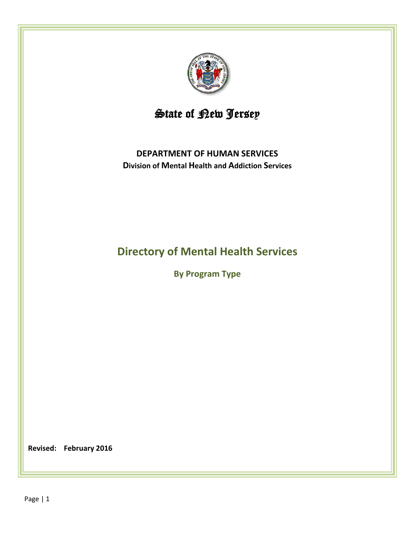

# State of <u>Pew Jerse</u>y

# **DEPARTMENT OF HUMAN SERVICES Division of Mental Health and Addiction Services**

# **Directory of Mental Health Services**

**By Program Type**

**Revised: February 2016**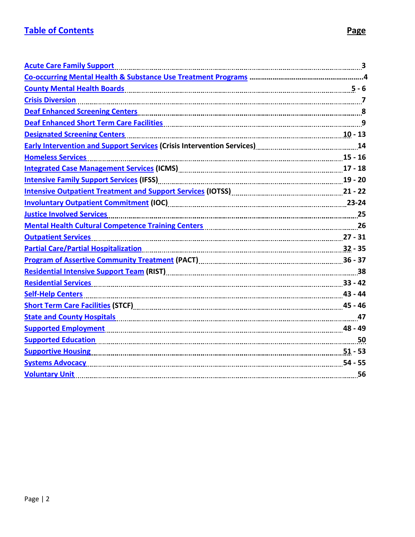<span id="page-1-0"></span>

| <b>Acute Care Family Support</b>                                                                                                                                                                                                    |  |
|-------------------------------------------------------------------------------------------------------------------------------------------------------------------------------------------------------------------------------------|--|
|                                                                                                                                                                                                                                     |  |
| <u>County Mental Health Boards [1986]</u> The County Mental Health Boards [1986] County Mental Health Boards [1986] County Mental Health Boards [1986] County Mental Health Boards [1986] County Mental Service Service Service Ser |  |
|                                                                                                                                                                                                                                     |  |
| Deaf Enhanced Screening Centers [111] Deaf Enhanced Screening Centers   8                                                                                                                                                           |  |
| Deaf Enhanced Short Term Care Facilities <b>Manual Acidities</b> 2014 12:00 12:00 13:00 14:00 14:00 14:00 14:00 14:00                                                                                                               |  |
| <b>Designated Screening Centers</b>                                                                                                                                                                                                 |  |
| Early Intervention and Support Services (Crisis Intervention Services)<br>14. Intervention and Support Services (Crisis Intervention Services)                                                                                      |  |
| <b>Homeless Services</b>                                                                                                                                                                                                            |  |
| Integrated Case Management Services (ICMS) [1000] [100] [100] [100] [100] [100] [17 - 18                                                                                                                                            |  |
| Intensive Family Support Services (IFSS) [1676] [1676] [16] [16] Intensive Family 20 - 20                                                                                                                                           |  |
| Intensive Outpatient Treatment and Support Services (IOTSS) [11] [12] Theory and the Patent Muslim (21 - 22                                                                                                                         |  |
|                                                                                                                                                                                                                                     |  |
| <b>Justice Involved Services</b>                                                                                                                                                                                                    |  |
| Mental Health Cultural Competence Training Centers [11] Mental Mental Health Cultural Competence Training Centers                                                                                                                   |  |
| Outpatient Services 27 - 31                                                                                                                                                                                                         |  |
| Partial Care/Partial Hospitalization 25 and 200 million 32 - 35                                                                                                                                                                     |  |
| Program of Assertive Community Treatment (PACT) [11] Program continuum control as 36 - 37                                                                                                                                           |  |
| Residential Intensive Support Team (RIST) [111] Residential International Properties 38                                                                                                                                             |  |
| <u>Residential Services</u> 33 - 42                                                                                                                                                                                                 |  |
| <b>Self-Help Centers</b>                                                                                                                                                                                                            |  |
| Short Term Care Facilities (STCF) [11] Short Term 2016 15: 45 - 46                                                                                                                                                                  |  |
| State and County Hospitals [179] And The County Application and Alternative County Application and Application                                                                                                                      |  |
| <b>Supported Employment</b> 48 - 49                                                                                                                                                                                                 |  |
| Supported Education 50                                                                                                                                                                                                              |  |
| <b>Supportive Housing Manual Action 1980</b> 1991 - 53                                                                                                                                                                              |  |
| <b>Systems Advocacy</b> 24 - 55                                                                                                                                                                                                     |  |
| Voluntary Unit 56                                                                                                                                                                                                                   |  |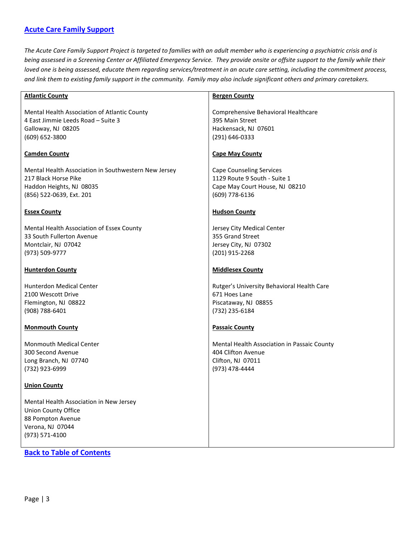### <span id="page-2-0"></span>**[Acute Care Family Support](#page-2-0)**

*The Acute Care Family Support Project is targeted to families with an adult member who is experiencing a psychiatric crisis and is being assessed in a Screening Center or Affiliated Emergency Service. They provide onsite or offsite support to the family while their loved one is being assessed, educate them regarding services/treatment in an acute care setting, including the commitment process, and link them to existing family support in the community. Family may also include significant others and primary caretakers.*

| <b>Atlantic County</b>                               | <b>Bergen County</b>                        |
|------------------------------------------------------|---------------------------------------------|
|                                                      |                                             |
| Mental Health Association of Atlantic County         | Comprehensive Behavioral Healthcare         |
| 4 East Jimmie Leeds Road - Suite 3                   | 395 Main Street                             |
| Galloway, NJ 08205                                   | Hackensack, NJ 07601                        |
| (609) 652-3800                                       | (291) 646-0333                              |
| <b>Camden County</b>                                 | <b>Cape May County</b>                      |
| Mental Health Association in Southwestern New Jersey | <b>Cape Counseling Services</b>             |
| 217 Black Horse Pike                                 | 1129 Route 9 South - Suite 1                |
| Haddon Heights, NJ 08035                             | Cape May Court House, NJ 08210              |
| (856) 522-0639, Ext. 201                             | (609) 778-6136                              |
| <b>Essex County</b>                                  | <b>Hudson County</b>                        |
| Mental Health Association of Essex County            | Jersey City Medical Center                  |
| 33 South Fullerton Avenue                            | 355 Grand Street                            |
| Montclair, NJ 07042                                  | Jersey City, NJ 07302                       |
| (973) 509-9777                                       | (201) 915-2268                              |
|                                                      |                                             |
| <b>Hunterdon County</b>                              | <b>Middlesex County</b>                     |
| <b>Hunterdon Medical Center</b>                      | Rutger's University Behavioral Health Care  |
| 2100 Wescott Drive                                   | 671 Hoes Lane                               |
| Flemington, NJ 08822                                 | Piscataway, NJ 08855                        |
| (908) 788-6401                                       | (732) 235-6184                              |
| <b>Monmouth County</b>                               | <b>Passaic County</b>                       |
| <b>Monmouth Medical Center</b>                       | Mental Health Association in Passaic County |
| 300 Second Avenue                                    | 404 Clifton Avenue                          |
| Long Branch, NJ 07740                                | Clifton, NJ 07011                           |
| (732) 923-6999                                       | (973) 478-4444                              |
| <b>Union County</b>                                  |                                             |
| Mental Health Association in New Jersey              |                                             |
| <b>Union County Office</b>                           |                                             |
| 88 Pompton Avenue                                    |                                             |
| Verona, NJ 07044                                     |                                             |
| (973) 571-4100                                       |                                             |
|                                                      |                                             |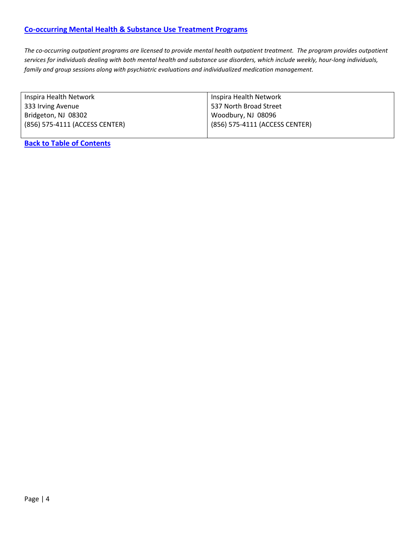<span id="page-3-0"></span>*The co-occurring outpatient programs are licensed to provide mental health outpatient treatment. The program provides outpatient services for individuals dealing with both mental health and substance use disorders, which include weekly, hour-long individuals, family and group sessions along with psychiatric evaluations and individualized medication management.*

| Inspira Health Network         | Inspira Health Network         |
|--------------------------------|--------------------------------|
| 333 Irving Avenue              | 537 North Broad Street         |
| Bridgeton, NJ 08302            | Woodbury, NJ 08096             |
| (856) 575-4111 (ACCESS CENTER) | (856) 575-4111 (ACCESS CENTER) |
|                                |                                |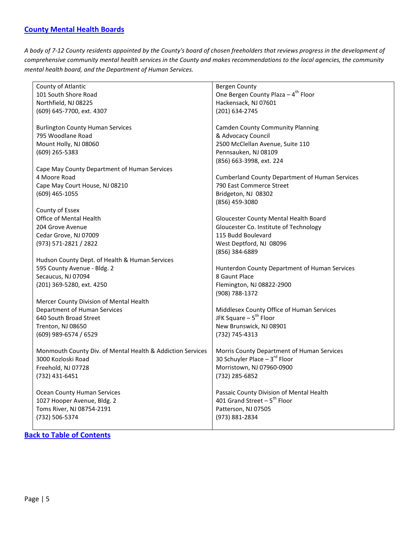### <span id="page-4-0"></span>**[County Mental Health Boards](#page-4-0)**

*A body of 7-12 County residents appointed by the County's board of chosen freeholders that reviews progress in the development of comprehensive community mental health services in the County and makes recommendations to the local agencies, the community mental health board, and the Department of Human Services.*

| County of Atlantic                                         | Bergen County                                         |
|------------------------------------------------------------|-------------------------------------------------------|
| 101 South Shore Road                                       | One Bergen County Plaza - 4 <sup>th</sup> Floor       |
| Northfield, NJ 08225                                       | Hackensack, NJ 07601                                  |
| (609) 645-7700, ext. 4307                                  | (201) 634-2745                                        |
|                                                            |                                                       |
| <b>Burlington County Human Services</b>                    | <b>Camden County Community Planning</b>               |
| 795 Woodlane Road                                          | & Advocacy Council                                    |
| Mount Holly, NJ 08060                                      | 2500 McClellan Avenue, Suite 110                      |
| (609) 265-5383                                             | Pennsauken, NJ 08109                                  |
|                                                            | (856) 663-3998, ext. 224                              |
| Cape May County Department of Human Services               |                                                       |
| 4 Moore Road                                               | <b>Cumberland County Department of Human Services</b> |
|                                                            | 790 East Commerce Street                              |
| Cape May Court House, NJ 08210                             |                                                       |
| (609) 465-1055                                             | Bridgeton, NJ 08302                                   |
|                                                            | (856) 459-3080                                        |
| County of Essex                                            |                                                       |
| Office of Mental Health                                    | Gloucester County Mental Health Board                 |
| 204 Grove Avenue                                           | Gloucester Co. Institute of Technology                |
| Cedar Grove, NJ 07009                                      | 115 Budd Boulevard                                    |
| (973) 571-2821 / 2822                                      | West Deptford, NJ 08096                               |
|                                                            | (856) 384-6889                                        |
| Hudson County Dept. of Health & Human Services             |                                                       |
| 595 County Avenue - Bldg. 2                                | Hunterdon County Department of Human Services         |
| Secaucus, NJ 07094                                         | 8 Gaunt Place                                         |
| (201) 369-5280, ext. 4250                                  | Flemington, NJ 08822-2900                             |
|                                                            | (908) 788-1372                                        |
| Mercer County Division of Mental Health                    |                                                       |
| Department of Human Services                               | Middlesex County Office of Human Services             |
| 640 South Broad Street                                     | JFK Square - 5 <sup>th</sup> Floor                    |
| Trenton, NJ 08650                                          | New Brunswick, NJ 08901                               |
| (609) 989-6574 / 6529                                      | (732) 745-4313                                        |
|                                                            |                                                       |
| Monmouth County Div. of Mental Health & Addiction Services | Morris County Department of Human Services            |
| 3000 Kozloski Road                                         | 30 Schuyler Place $-3^{rd}$ Floor                     |
| Freehold, NJ 07728                                         | Morristown, NJ 07960-0900                             |
| (732) 431-6451                                             | (732) 285-6852                                        |
|                                                            |                                                       |
| <b>Ocean County Human Services</b>                         | Passaic County Division of Mental Health              |
| 1027 Hooper Avenue, Bldg. 2                                | 401 Grand Street $-5^{th}$ Floor                      |
| Toms River, NJ 08754-2191                                  | Patterson, NJ 07505                                   |
| (732) 506-5374                                             | (973) 881-2834                                        |
|                                                            |                                                       |
|                                                            |                                                       |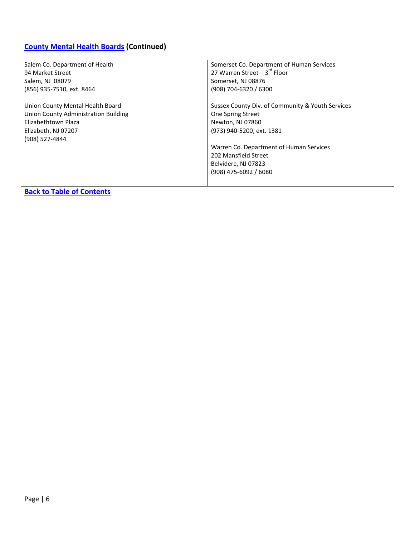# **[County Mental](#page-4-0) Health Boards (Continued)**

| Salem Co. Department of Health       | Somerset Co. Department of Human Services        |
|--------------------------------------|--------------------------------------------------|
| 94 Market Street                     | 27 Warren Street $-3^{rd}$ Floor                 |
| Salem, NJ 08079                      | Somerset, NJ 08876                               |
| (856) 935-7510, ext. 8464            | (908) 704-6320 / 6300                            |
|                                      |                                                  |
| Union County Mental Health Board     | Sussex County Div. of Community & Youth Services |
| Union County Administration Building | One Spring Street                                |
| Elizabethtown Plaza                  | Newton, NJ 07860                                 |
| Elizabeth, NJ 07207                  | (973) 940-5200, ext. 1381                        |
| (908) 527-4844                       |                                                  |
|                                      | Warren Co. Department of Human Services          |
|                                      | 202 Mansfield Street                             |
|                                      | Belvidere, NJ 07823                              |
|                                      | $(908)$ 475-6092 / 6080                          |
|                                      |                                                  |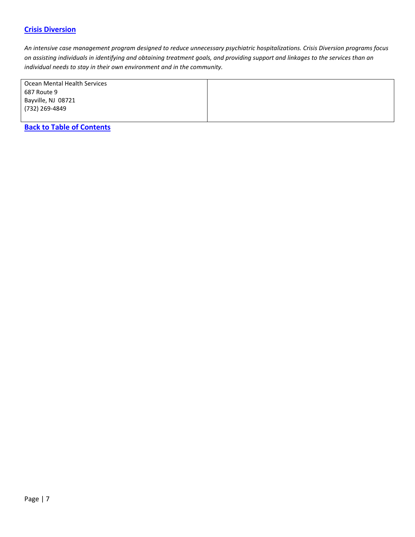### <span id="page-6-0"></span>**[Crisis Diversion](#page-6-0)**

*An intensive case management program designed to reduce unnecessary psychiatric hospitalizations. Crisis Diversion programs focus on assisting individuals in identifying and obtaining treatment goals, and providing support and linkages to the services than an individual needs to stay in their own environment and in the community.*

| Ocean Mental Health Services |  |
|------------------------------|--|
| 687 Route 9                  |  |
| Bayville, NJ 08721           |  |
| (732) 269-4849               |  |
|                              |  |
|                              |  |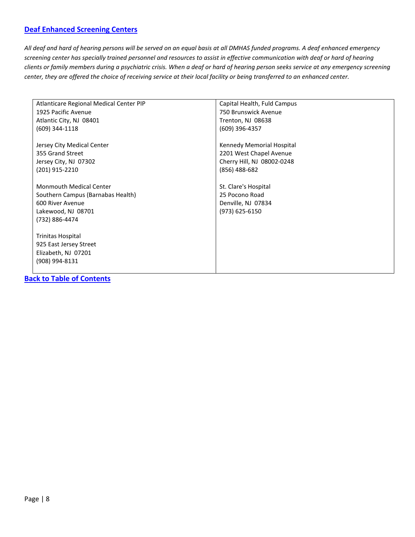### <span id="page-7-0"></span>**[Deaf Enhanced Screening Centers](#page-7-0)**

*All deaf and hard of hearing persons will be served on an equal basis at all DMHAS funded programs. A deaf enhanced emergency screening center has specially trained personnel and resources to assist in effective communication with deaf or hard of hearing clients or family members during a psychiatric crisis. When a deaf or hard of hearing person seeks service at any emergency screening center, they are offered the choice of receiving service at their local facility or being transferred to an enhanced center.*

| Atlanticare Regional Medical Center PIP | Capital Health, Fuld Campus |
|-----------------------------------------|-----------------------------|
| 1925 Pacific Avenue                     | 750 Brunswick Avenue        |
| Atlantic City, NJ 08401                 | Trenton, NJ 08638           |
| (609) 344-1118                          | (609) 396-4357              |
| Jersey City Medical Center              | Kennedy Memorial Hospital   |
| 355 Grand Street                        | 2201 West Chapel Avenue     |
| Jersey City, NJ 07302                   | Cherry Hill, NJ 08002-0248  |
| (201) 915-2210                          | (856) 488-682               |
| <b>Monmouth Medical Center</b>          | St. Clare's Hospital        |
| Southern Campus (Barnabas Health)       | 25 Pocono Road              |
| 600 River Avenue                        | Denville, NJ 07834          |
| Lakewood, NJ 08701                      | (973) 625-6150              |
| (732) 886-4474                          |                             |
| Trinitas Hospital                       |                             |
| 925 East Jersey Street                  |                             |
| Elizabeth, NJ 07201                     |                             |
| (908) 994-8131                          |                             |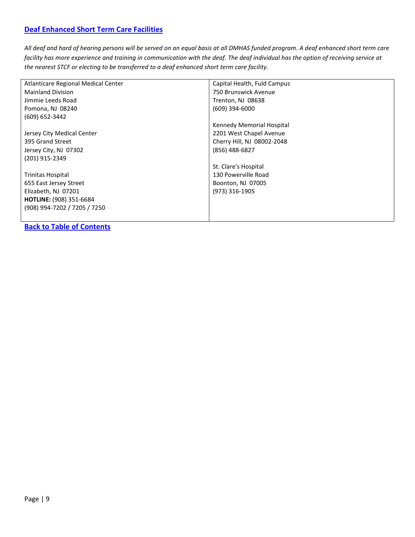### <span id="page-8-0"></span>**[Deaf Enhanced Short Term Care Facilities](#page-8-0)**

*All deaf and hard of hearing persons will be served on an equal basis at all DMHAS funded program. A deaf enhanced short term care facility has more experience and training in communication with the deaf. The deaf individual has the option of receiving service at the nearest STCF or electing to be transferred to a deaf enhanced short term care facility.*

| Atlanticare Regional Medical Center | Capital Health, Fuld Campus |
|-------------------------------------|-----------------------------|
| <b>Mainland Division</b>            | 750 Brunswick Avenue        |
| Jimmie Leeds Road                   | Trenton, NJ 08638           |
| Pomona, NJ 08240                    | $(609)$ 394-6000            |
| (609) 652-3442                      |                             |
|                                     | Kennedy Memorial Hospital   |
| Jersey City Medical Center          | 2201 West Chapel Avenue     |
| 395 Grand Street                    | Cherry Hill, NJ 08002-2048  |
| Jersey City, NJ 07302               | (856) 488-6827              |
| (201) 915-2349                      |                             |
|                                     | St. Clare's Hospital        |
| <b>Trinitas Hospital</b>            | 130 Powerville Road         |
| 655 East Jersey Street              | Boonton, NJ 07005           |
| Elizabeth, NJ 07201                 | (973) 316-1905              |
| HOTLINE: (908) 351-6684             |                             |
| (908) 994-7202 / 7205 / 7250        |                             |
|                                     |                             |
|                                     |                             |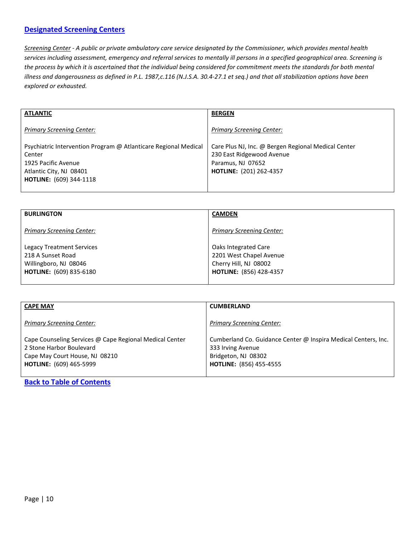### <span id="page-9-0"></span>**[Designated Screening Centers](#page-9-0)**

*Screening Center - A public or private ambulatory care service designated by the Commissioner, which provides mental health services including assessment, emergency and referral services to mentally ill persons in a specified geographical area. Screening is the process by which it is ascertained that the individual being considered for commitment meets the standards for both mental illness and dangerousness as defined in P.L. 1987,c.116 (N.J.S.A. 30.4-27.1 et seq.) and that all stabilization options have been explored or exhausted.*

| <b>BERGEN</b>                                                                                                                           |
|-----------------------------------------------------------------------------------------------------------------------------------------|
| <b>Primary Screening Center:</b>                                                                                                        |
| Care Plus NJ, Inc. @ Bergen Regional Medical Center<br>230 East Ridgewood Avenue<br>Paramus, NJ 07652<br><b>HOTLINE: (201) 262-4357</b> |
|                                                                                                                                         |

| <b>BURLINGTON</b>                                                                                         | <b>CAMDEN</b>                                                                                              |
|-----------------------------------------------------------------------------------------------------------|------------------------------------------------------------------------------------------------------------|
| <b>Primary Screening Center:</b>                                                                          | <b>Primary Screening Center:</b>                                                                           |
| Legacy Treatment Services<br>218 A Sunset Road<br>Willingboro, NJ 08046<br><b>HOTLINE:</b> (609) 835-6180 | Oaks Integrated Care<br>2201 West Chapel Avenue<br>Cherry Hill, NJ 08002<br><b>HOTLINE: (856) 428-4357</b> |

| <b>CAPE MAY</b>                                                                                                                                         | <b>CUMBERLAND</b>                                                                                                                            |
|---------------------------------------------------------------------------------------------------------------------------------------------------------|----------------------------------------------------------------------------------------------------------------------------------------------|
| <b>Primary Screening Center:</b>                                                                                                                        | <b>Primary Screening Center:</b>                                                                                                             |
| Cape Counseling Services @ Cape Regional Medical Center<br>2 Stone Harbor Boulevard<br>Cape May Court House, NJ 08210<br><b>HOTLINE:</b> (609) 465-5999 | Cumberland Co. Guidance Center @ Inspira Medical Centers, Inc.<br>333 Irving Avenue<br>Bridgeton, NJ 08302<br><b>HOTLINE:</b> (856) 455-4555 |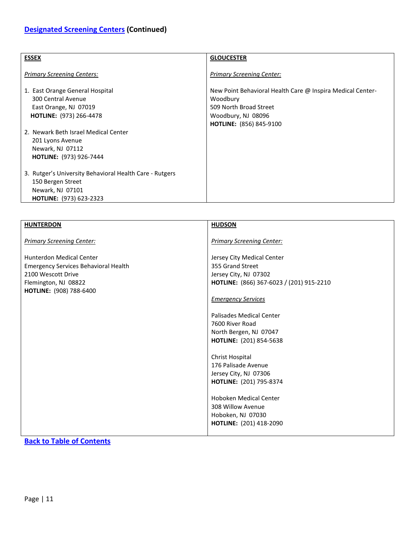| <b>ESSEX</b>                                                                   | <b>GLOUCESTER</b>                                                                                |
|--------------------------------------------------------------------------------|--------------------------------------------------------------------------------------------------|
| <b>Primary Screening Centers:</b>                                              | <b>Primary Screening Center:</b>                                                                 |
| 1. East Orange General Hospital<br>300 Central Avenue<br>East Orange, NJ 07019 | New Point Behavioral Health Care @ Inspira Medical Center-<br>Woodbury<br>509 North Broad Street |
| HOTLINE: (973) 266-4478                                                        | Woodbury, NJ 08096<br>HOTLINE: (856) 845-9100                                                    |
| 2. Newark Beth Israel Medical Center<br>201 Lyons Avenue<br>Newark, NJ 07112   |                                                                                                  |
| <b>HOTLINE: (973) 926-7444</b>                                                 |                                                                                                  |
| 3. Rutger's University Behavioral Health Care - Rutgers                        |                                                                                                  |
| 150 Bergen Street<br>Newark, NJ 07101                                          |                                                                                                  |
| <b>HOTLINE:</b> (973) 623-2323                                                 |                                                                                                  |

| <b>HUNTERDON</b>                                                                                                                                                    | <b>HUDSON</b>                                                                                                                                                                                                                                                                                                                                                                                                                                            |
|---------------------------------------------------------------------------------------------------------------------------------------------------------------------|----------------------------------------------------------------------------------------------------------------------------------------------------------------------------------------------------------------------------------------------------------------------------------------------------------------------------------------------------------------------------------------------------------------------------------------------------------|
| <b>Primary Screening Center:</b>                                                                                                                                    | <b>Primary Screening Center:</b>                                                                                                                                                                                                                                                                                                                                                                                                                         |
| <b>Hunterdon Medical Center</b><br><b>Emergency Services Behavioral Health</b><br>2100 Wescott Drive<br>Flemington, NJ 08822<br><b>HOTLINE:</b> (908) 788-6400<br>. | Jersey City Medical Center<br>355 Grand Street<br>Jersey City, NJ 07302<br>HOTLINE: (866) 367-6023 / (201) 915-2210<br><b>Emergency Services</b><br>Palisades Medical Center<br>7600 River Road<br>North Bergen, NJ 07047<br>HOTLINE: (201) 854-5638<br>Christ Hospital<br>176 Palisade Avenue<br>Jersey City, NJ 07306<br>HOTLINE: (201) 795-8374<br><b>Hoboken Medical Center</b><br>308 Willow Avenue<br>Hoboken, NJ 07030<br>HOTLINE: (201) 418-2090 |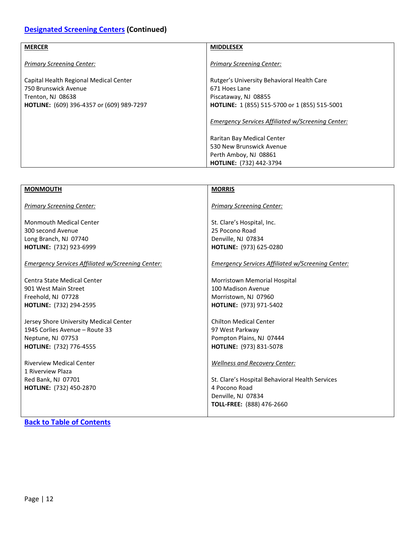# **[Designated Screening Centers](#page-9-0) (Continued)**

| <b>MERCER</b>                                    | <b>MIDDLESEX</b>                                     |
|--------------------------------------------------|------------------------------------------------------|
| <b>Primary Screening Center:</b>                 | <b>Primary Screening Center:</b>                     |
| Capital Health Regional Medical Center           | Rutger's University Behavioral Health Care           |
| 750 Brunswick Avenue                             | 671 Hoes Lane                                        |
| Trenton, NJ 08638                                | Piscataway, NJ 08855                                 |
| <b>HOTLINE:</b> (609) 396-4357 or (609) 989-7297 | <b>HOTLINE:</b> 1 (855) 515-5700 or 1 (855) 515-5001 |
|                                                  | Emergency Services Affiliated w/Screening Center:    |
|                                                  | Raritan Bay Medical Center                           |
|                                                  | 530 New Brunswick Avenue                             |
|                                                  | Perth Amboy, NJ 08861                                |
|                                                  | <b>HOTLINE:</b> (732) 442-3794                       |

| <b>MONMOUTH</b>                                      | <b>MORRIS</b>                                     |
|------------------------------------------------------|---------------------------------------------------|
|                                                      |                                                   |
| <b>Primary Screening Center:</b>                     | <b>Primary Screening Center:</b>                  |
| <b>Monmouth Medical Center</b>                       | St. Clare's Hospital, Inc.                        |
| 300 second Avenue                                    | 25 Pocono Road                                    |
| Long Branch, NJ 07740                                | Denville, NJ 07834                                |
| HOTLINE: (732) 923-6999                              | HOTLINE: (973) 625-0280                           |
| Emergency Services Affiliated w/Screening Center:    | Emergency Services Affiliated w/Screening Center: |
| <b>Centra State Medical Center</b>                   | Morristown Memorial Hospital                      |
| 901 West Main Street                                 | 100 Madison Avenue                                |
| Freehold, NJ 07728                                   | Morristown, NJ 07960                              |
| HOTLINE: (732) 294-2595                              | HOTLINE: (973) 971-5402                           |
| Jersey Shore University Medical Center               | <b>Chilton Medical Center</b>                     |
| 1945 Corlies Avenue – Route 33                       | 97 West Parkway                                   |
| Neptune, NJ 07753                                    | Pompton Plains, NJ 07444                          |
| <b>HOTLINE:</b> (732) 776-4555                       | HOTLINE: (973) 831-5078                           |
| <b>Riverview Medical Center</b><br>1 Riverview Plaza | <b>Wellness and Recovery Center:</b>              |
| Red Bank, NJ 07701                                   | St. Clare's Hospital Behavioral Health Services   |
| <b>HOTLINE: (732) 450-2870</b>                       | 4 Pocono Road                                     |
|                                                      | Denville, NJ 07834                                |
|                                                      | TOLL-FREE: (888) 476-2660                         |
|                                                      |                                                   |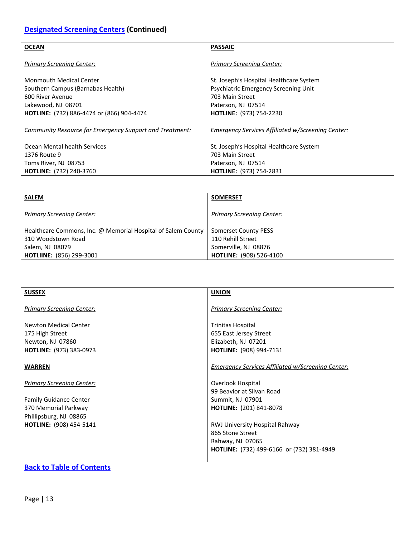# **[Designated Screening Centers](#page-9-0) (Continued)**

| <b>OCEAN</b>                                                   | <b>PASSAIC</b>                                           |
|----------------------------------------------------------------|----------------------------------------------------------|
|                                                                |                                                          |
| <b>Primary Screening Center:</b>                               | <b>Primary Screening Center:</b>                         |
|                                                                |                                                          |
| <b>Monmouth Medical Center</b>                                 | St. Joseph's Hospital Healthcare System                  |
| Southern Campus (Barnabas Health)                              | Psychiatric Emergency Screening Unit                     |
| 600 River Avenue                                               | 703 Main Street                                          |
| Lakewood, NJ 08701                                             | Paterson, NJ 07514                                       |
| <b>HOTLINE:</b> (732) 886-4474 or (866) 904-4474               | <b>HOTLINE: (973) 754-2230</b>                           |
|                                                                |                                                          |
| <b>Community Resource for Emergency Support and Treatment:</b> | <b>Emergency Services Affiliated w/Screening Center:</b> |
|                                                                |                                                          |
| Ocean Mental health Services                                   | St. Joseph's Hospital Healthcare System                  |
| 1376 Route 9                                                   | 703 Main Street                                          |
| Toms River, NJ 08753                                           | Paterson, NJ 07514                                       |
| <b>HOTLINE: (732) 240-3760</b>                                 | <b>HOTLINE: (973) 754-2831</b>                           |
|                                                                |                                                          |

| <b>SALEM</b>                                                                                                                             | <b>SOMERSET</b>                                                                                     |
|------------------------------------------------------------------------------------------------------------------------------------------|-----------------------------------------------------------------------------------------------------|
| <b>Primary Screening Center:</b>                                                                                                         | <b>Primary Screening Center:</b>                                                                    |
| Healthcare Commons, Inc. @ Memorial Hospital of Salem County<br>310 Woodstown Road<br>Salem, NJ 08079<br><b>HOTLIINE: (856) 299-3001</b> | Somerset County PESS<br>110 Rehill Street<br>Somerville, NJ 08876<br><b>HOTLINE:</b> (908) 526-4100 |

| <b>SUSSEX</b>                    | <b>UNION</b>                                             |
|----------------------------------|----------------------------------------------------------|
|                                  |                                                          |
| <b>Primary Screening Center:</b> | <b>Primary Screening Center:</b>                         |
|                                  |                                                          |
| Newton Medical Center            | <b>Trinitas Hospital</b>                                 |
| 175 High Street                  | 655 East Jersey Street                                   |
| Newton, NJ 07860                 | Elizabeth, NJ 07201                                      |
|                                  |                                                          |
| <b>HOTLINE:</b> (973) 383-0973   | <b>HOTLINE:</b> (908) 994-7131                           |
|                                  |                                                          |
| <b>WARREN</b>                    | <b>Emergency Services Affiliated w/Screening Center:</b> |
|                                  |                                                          |
| <b>Primary Screening Center:</b> | Overlook Hospital                                        |
|                                  | 99 Beavior at Silvan Road                                |
| Family Guidance Center           | Summit, NJ 07901                                         |
| 370 Memorial Parkway             | HOTLINE: (201) 841-8078                                  |
| Phillipsburg, NJ 08865           |                                                          |
| <b>HOTLINE:</b> (908) 454-5141   | RWJ University Hospital Rahway                           |
|                                  | 865 Stone Street                                         |
|                                  | Rahway, NJ 07065                                         |
|                                  | HOTLINE: (732) 499-6166 or (732) 381-4949                |
|                                  |                                                          |
|                                  |                                                          |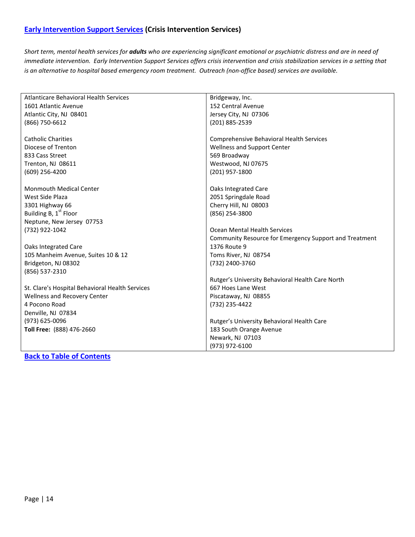### <span id="page-13-0"></span>**[Early Intervention Support Services](#page-13-0) (Crisis Intervention Services)**

*Short term, mental health services for adults who are experiencing significant emotional or psychiatric distress and are in need of immediate intervention. Early Intervention Support Services offers crisis intervention and crisis stabilization services in a setting that is an alternative to hospital based emergency room treatment. Outreach (non-office based) services are available.*

| <b>Atlanticare Behavioral Health Services</b>   | Bridgeway, Inc.                                        |
|-------------------------------------------------|--------------------------------------------------------|
| 1601 Atlantic Avenue                            | 152 Central Avenue                                     |
| Atlantic City, NJ 08401                         | Jersey City, NJ 07306                                  |
| (866) 750-6612                                  | (201) 885-2539                                         |
|                                                 |                                                        |
| <b>Catholic Charities</b>                       | Comprehensive Behavioral Health Services               |
| Diocese of Trenton                              | Wellness and Support Center                            |
| 833 Cass Street                                 | 569 Broadway                                           |
| Trenton, NJ 08611                               | Westwood, NJ 07675                                     |
| (609) 256-4200                                  | (201) 957-1800                                         |
|                                                 |                                                        |
| <b>Monmouth Medical Center</b>                  | Oaks Integrated Care                                   |
| West Side Plaza                                 | 2051 Springdale Road                                   |
| 3301 Highway 66                                 | Cherry Hill, NJ 08003                                  |
| Building B, 1 <sup>st</sup> Floor               | (856) 254-3800                                         |
| Neptune, New Jersey 07753                       |                                                        |
| (732) 922-1042                                  | Ocean Mental Health Services                           |
|                                                 | Community Resource for Emergency Support and Treatment |
| Oaks Integrated Care                            | 1376 Route 9                                           |
| 105 Manheim Avenue, Suites 10 & 12              | Toms River, NJ 08754                                   |
| Bridgeton, NJ 08302                             | (732) 2400-3760                                        |
| (856) 537-2310                                  |                                                        |
|                                                 | Rutger's University Behavioral Health Care North       |
| St. Clare's Hospital Behavioral Health Services | 667 Hoes Lane West                                     |
| Wellness and Recovery Center                    | Piscataway, NJ 08855                                   |
| 4 Pocono Road                                   | (732) 235-4422                                         |
| Denville, NJ 07834                              |                                                        |
| (973) 625-0096                                  | Rutger's University Behavioral Health Care             |
| Toll Free: (888) 476-2660                       | 183 South Orange Avenue                                |
|                                                 | Newark, NJ 07103                                       |
|                                                 | (973) 972-6100                                         |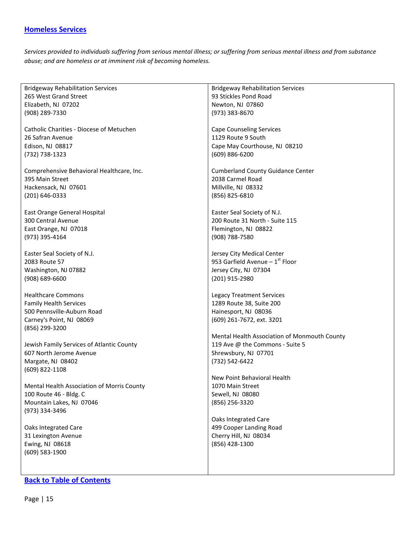### <span id="page-14-0"></span>**[Homeless Services](#page-14-0)**

*Services provided to individuals suffering from serious mental illness; or suffering from serious mental illness and from substance abuse; and are homeless or at imminent risk of becoming homeless.*

| <b>Bridgeway Rehabilitation Services</b>   | <b>Bridgeway Rehabilitation Services</b>     |
|--------------------------------------------|----------------------------------------------|
| 265 West Grand Street                      | 93 Stickles Pond Road                        |
| Elizabeth, NJ 07202                        | Newton, NJ 07860                             |
| (908) 289-7330                             | (973) 383-8670                               |
|                                            |                                              |
| Catholic Charities - Diocese of Metuchen   | <b>Cape Counseling Services</b>              |
| 26 Safran Avenue                           | 1129 Route 9 South                           |
| Edison, NJ 08817                           | Cape May Courthouse, NJ 08210                |
|                                            | (609) 886-6200                               |
| (732) 738-1323                             |                                              |
|                                            |                                              |
| Comprehensive Behavioral Healthcare, Inc.  | <b>Cumberland County Guidance Center</b>     |
| 395 Main Street                            | 2038 Carmel Road                             |
| Hackensack, NJ 07601                       | Millville, NJ 08332                          |
| (201) 646-0333                             | (856) 825-6810                               |
|                                            |                                              |
| East Orange General Hospital               | Easter Seal Society of N.J.                  |
| 300 Central Avenue                         | 200 Route 31 North - Suite 115               |
| East Orange, NJ 07018                      | Flemington, NJ 08822                         |
| (973) 395-4164                             | (908) 788-7580                               |
|                                            |                                              |
| Easter Seal Society of N.J.                | Jersey City Medical Center                   |
| 2083 Route 57                              | 953 Garfield Avenue $-1$ <sup>st</sup> Floor |
| Washington, NJ 07882                       | Jersey City, NJ 07304                        |
| $(908) 689 - 6600$                         | (201) 915-2980                               |
|                                            |                                              |
| <b>Healthcare Commons</b>                  | <b>Legacy Treatment Services</b>             |
| <b>Family Health Services</b>              | 1289 Route 38, Suite 200                     |
| 500 Pennsville-Auburn Road                 | Hainesport, NJ 08036                         |
| Carney's Point, NJ 08069                   | (609) 261-7672, ext. 3201                    |
| (856) 299-3200                             |                                              |
|                                            | Mental Health Association of Monmouth County |
| Jewish Family Services of Atlantic County  | 119 Ave @ the Commons - Suite 5              |
| 607 North Jerome Avenue                    | Shrewsbury, NJ 07701                         |
| Margate, NJ 08402                          | (732) 542-6422                               |
| (609) 822-1108                             |                                              |
|                                            | New Point Behavioral Health                  |
| Mental Health Association of Morris County | 1070 Main Street                             |
| 100 Route 46 - Bldg. C                     | Sewell, NJ 08080                             |
|                                            |                                              |
| Mountain Lakes, NJ 07046                   | (856) 256-3320                               |
| (973) 334-3496                             |                                              |
|                                            | Oaks Integrated Care                         |
| Oaks Integrated Care                       | 499 Cooper Landing Road                      |
| 31 Lexington Avenue                        | Cherry Hill, NJ 08034                        |
| Ewing, NJ 08618                            | (856) 428-1300                               |
| $(609)$ 583-1900                           |                                              |
|                                            |                                              |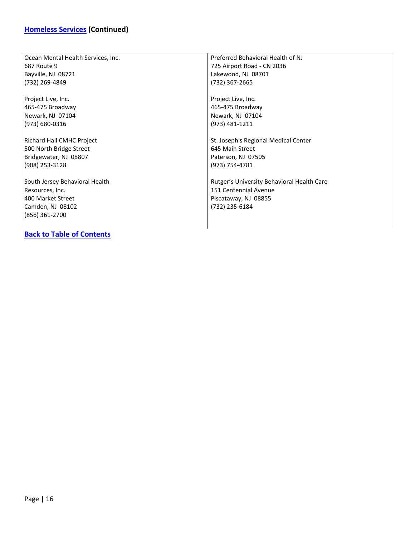| Ocean Mental Health Services, Inc.                                                                           | Preferred Behavioral Health of NJ                                                                             |
|--------------------------------------------------------------------------------------------------------------|---------------------------------------------------------------------------------------------------------------|
| 687 Route 9                                                                                                  | 725 Airport Road - CN 2036                                                                                    |
| Bayville, NJ 08721                                                                                           | Lakewood, NJ 08701                                                                                            |
| (732) 269-4849                                                                                               | (732) 367-2665                                                                                                |
| Project Live, Inc.                                                                                           | Project Live, Inc.                                                                                            |
| 465-475 Broadway                                                                                             | 465-475 Broadway                                                                                              |
| Newark, NJ 07104                                                                                             | Newark, NJ 07104                                                                                              |
| (973) 680-0316                                                                                               | (973) 481-1211                                                                                                |
| Richard Hall CMHC Project                                                                                    | St. Joseph's Regional Medical Center                                                                          |
| 500 North Bridge Street                                                                                      | 645 Main Street                                                                                               |
| Bridgewater, NJ 08807                                                                                        | Paterson, NJ 07505                                                                                            |
| (908) 253-3128                                                                                               | (973) 754-4781                                                                                                |
| South Jersey Behavioral Health<br>Resources, Inc.<br>400 Market Street<br>Camden, NJ 08102<br>(856) 361-2700 | Rutger's University Behavioral Health Care<br>151 Centennial Avenue<br>Piscataway, NJ 08855<br>(732) 235-6184 |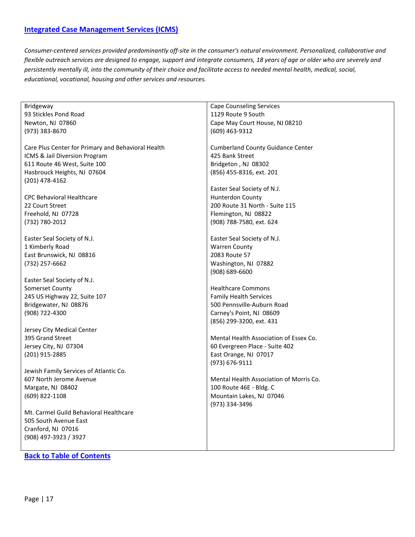### <span id="page-16-0"></span>**[Integrated Case Management Services \(ICMS\)](#page-16-0)**

*Consumer-centered services provided predominantly off-site in the consumer's natural environment. Personalized, collaborative and flexible outreach services are designed to engage, support and integrate consumers, 18 years of age or older who are severely and persistently mentally ill, into the community of their choice and facilitate access to needed mental health, medical, social, educational, vocational, housing and other services and resources.*

| Bridgeway                                          | <b>Cape Counseling Services</b>          |
|----------------------------------------------------|------------------------------------------|
| 93 Stickles Pond Road                              | 1129 Route 9 South                       |
| Newton, NJ 07860                                   | Cape May Court House, NJ 08210           |
| (973) 383-8670                                     | (609) 463-9312                           |
|                                                    |                                          |
| Care Plus Center for Primary and Behavioral Health | <b>Cumberland County Guidance Center</b> |
| ICMS & Jail Diversion Program                      | 425 Bank Street                          |
| 611 Route 46 West, Suite 100                       | Bridgeton, NJ 08302                      |
| Hasbrouck Heights, NJ 07604                        | (856) 455-8316, ext. 201                 |
|                                                    |                                          |
| $(201)$ 478-4162                                   |                                          |
|                                                    | Easter Seal Society of N.J.              |
| <b>CPC Behavioral Healthcare</b>                   | <b>Hunterdon County</b>                  |
| 22 Court Street                                    | 200 Route 31 North - Suite 115           |
| Freehold, NJ 07728                                 | Flemington, NJ 08822                     |
| (732) 780-2012                                     | (908) 788-7580, ext. 624                 |
|                                                    |                                          |
| Easter Seal Society of N.J.                        | Easter Seal Society of N.J.              |
| 1 Kimberly Road                                    | <b>Warren County</b>                     |
| East Brunswick, NJ 08816                           | 2083 Route 57                            |
| (732) 257-6662                                     | Washington, NJ 07882                     |
|                                                    | $(908) 689 - 6600$                       |
|                                                    |                                          |
| Easter Seal Society of N.J.                        |                                          |
| Somerset County                                    | <b>Healthcare Commons</b>                |
| 245 US Highway 22, Suite 107                       | <b>Family Health Services</b>            |
| Bridgewater, NJ 08876                              | 500 Pennsville-Auburn Road               |
| (908) 722-4300                                     | Carney's Point, NJ 08609                 |
|                                                    | (856) 299-3200, ext. 431                 |
| Jersey City Medical Center                         |                                          |
| 395 Grand Street                                   | Mental Health Association of Essex Co.   |
| Jersey City, NJ 07304                              | 60 Evergreen Place - Suite 402           |
| (201) 915-2885                                     | East Orange, NJ 07017                    |
|                                                    | (973) 676-9111                           |
| Jewish Family Services of Atlantic Co.             |                                          |
| 607 North Jerome Avenue                            | Mental Health Association of Morris Co.  |
|                                                    |                                          |
| Margate, NJ 08402                                  | 100 Route 46E - Bldg. C                  |
| (609) 822-1108                                     | Mountain Lakes, NJ 07046                 |
|                                                    | (973) 334-3496                           |
| Mt. Carmel Guild Behavioral Healthcare             |                                          |
| 505 South Avenue East                              |                                          |
| Cranford, NJ 07016                                 |                                          |
| (908) 497-3923 / 3927                              |                                          |
|                                                    |                                          |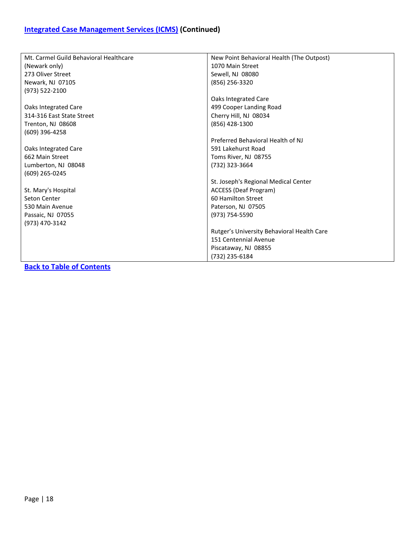| Mt. Carmel Guild Behavioral Healthcare | New Point Behavioral Health (The Outpost)  |
|----------------------------------------|--------------------------------------------|
| (Newark only)                          | 1070 Main Street                           |
| 273 Oliver Street                      | Sewell, NJ 08080                           |
| Newark, NJ 07105                       | (856) 256-3320                             |
| (973) 522-2100                         |                                            |
|                                        | Oaks Integrated Care                       |
| Oaks Integrated Care                   | 499 Cooper Landing Road                    |
| 314-316 East State Street              | Cherry Hill, NJ 08034                      |
| Trenton, NJ 08608                      | (856) 428-1300                             |
| (609) 396-4258                         |                                            |
|                                        | Preferred Behavioral Health of NJ          |
| Oaks Integrated Care                   | 591 Lakehurst Road                         |
| 662 Main Street                        | Toms River, NJ 08755                       |
| Lumberton, NJ 08048                    | (732) 323-3664                             |
| (609) 265-0245                         |                                            |
|                                        | St. Joseph's Regional Medical Center       |
| St. Mary's Hospital                    | <b>ACCESS (Deaf Program)</b>               |
| Seton Center                           | 60 Hamilton Street                         |
| 530 Main Avenue                        | Paterson, NJ 07505                         |
| Passaic, NJ 07055                      | (973) 754-5590                             |
| (973) 470-3142                         |                                            |
|                                        | Rutger's University Behavioral Health Care |
|                                        | 151 Centennial Avenue                      |
|                                        | Piscataway, NJ 08855                       |
|                                        | (732) 235-6184                             |
|                                        |                                            |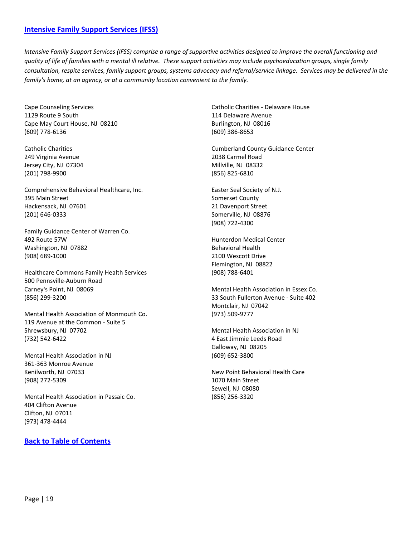#### <span id="page-18-0"></span>**[Intensive Family Support Services \(IFSS\)](#page-18-0)**

*Intensive Family Support Services (IFSS) comprise a range of supportive activities designed to improve the overall functioning and quality of life of families with a mental ill relative. These support activities may include psychoeducation groups, single family consultation, respite services, family support groups, systems advocacy and referral/service linkage. Services may be delivered in the family's home, at an agency, or at a community location convenient to the family.*

| <b>Cape Counseling Services</b>           | Catholic Charities - Delaware House      |
|-------------------------------------------|------------------------------------------|
| 1129 Route 9 South                        | 114 Delaware Avenue                      |
| Cape May Court House, NJ 08210            | Burlington, NJ 08016                     |
| (609) 778-6136                            | (609) 386-8653                           |
|                                           |                                          |
| <b>Catholic Charities</b>                 | <b>Cumberland County Guidance Center</b> |
| 249 Virginia Avenue                       | 2038 Carmel Road                         |
| Jersey City, NJ 07304                     | Millville, NJ 08332                      |
| (201) 798-9900                            | (856) 825-6810                           |
|                                           |                                          |
| Comprehensive Behavioral Healthcare, Inc. | Easter Seal Society of N.J.              |
| 395 Main Street                           | Somerset County                          |
| Hackensack, NJ 07601                      | 21 Davenport Street                      |
| (201) 646-0333                            | Somerville, NJ 08876                     |
|                                           | (908) 722-4300                           |
| Family Guidance Center of Warren Co.      |                                          |
| 492 Route 57W                             | <b>Hunterdon Medical Center</b>          |
| Washington, NJ 07882                      | <b>Behavioral Health</b>                 |
| (908) 689-1000                            | 2100 Wescott Drive                       |
|                                           | Flemington, NJ 08822                     |
| Healthcare Commons Family Health Services | (908) 788-6401                           |
| 500 Pennsville-Auburn Road                |                                          |
| Carney's Point, NJ 08069                  | Mental Health Association in Essex Co.   |
| (856) 299-3200                            | 33 South Fullerton Avenue - Suite 402    |
|                                           | Montclair, NJ 07042                      |
| Mental Health Association of Monmouth Co. | (973) 509-9777                           |
| 119 Avenue at the Common - Suite 5        |                                          |
| Shrewsbury, NJ 07702                      | Mental Health Association in NJ          |
| (732) 542-6422                            | 4 East Jimmie Leeds Road                 |
|                                           | Galloway, NJ 08205                       |
|                                           |                                          |
| Mental Health Association in NJ           | (609) 652-3800                           |
| 361-363 Monroe Avenue                     |                                          |
| Kenilworth, NJ 07033                      | New Point Behavioral Health Care         |
| (908) 272-5309                            | 1070 Main Street                         |
|                                           | Sewell, NJ 08080                         |
| Mental Health Association in Passaic Co.  | (856) 256-3320                           |
| 404 Clifton Avenue                        |                                          |
| Clifton, NJ 07011                         |                                          |
| (973) 478-4444                            |                                          |
|                                           |                                          |
|                                           |                                          |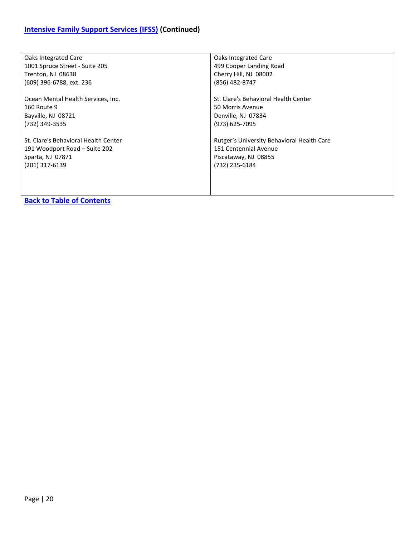| Oaks Integrated Care                 | Oaks Integrated Care                       |
|--------------------------------------|--------------------------------------------|
| 1001 Spruce Street - Suite 205       | 499 Cooper Landing Road                    |
| Trenton, NJ 08638                    | Cherry Hill, NJ 08002                      |
| (609) 396-6788, ext. 236             | (856) 482-8747                             |
| Ocean Mental Health Services, Inc.   | St. Clare's Behavioral Health Center       |
| <b>160 Route 9</b>                   | 50 Morris Avenue                           |
| Bayville, NJ 08721                   | Denville, NJ 07834                         |
| (732) 349-3535                       | (973) 625-7095                             |
| St. Clare's Behavioral Health Center | Rutger's University Behavioral Health Care |
| 191 Woodport Road - Suite 202        | 151 Centennial Avenue                      |
| Sparta, NJ 07871                     | Piscataway, NJ 08855                       |
| (201) 317-6139                       | (732) 235-6184                             |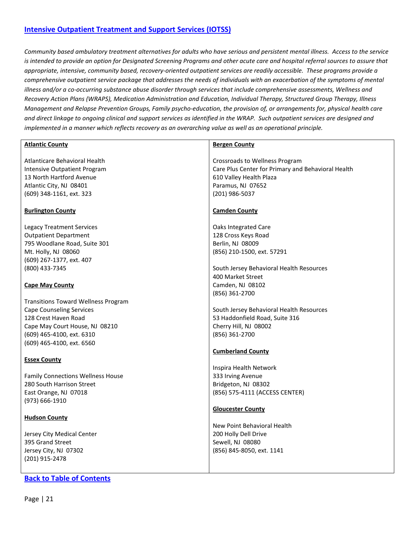### <span id="page-20-0"></span>**[Intensive Outpatient Treatment and Support Services \(IOTSS\)](#page-20-0)**

*Community based ambulatory treatment alternatives for adults who have serious and persistent mental illness. Access to the service is intended to provide an option for Designated Screening Programs and other acute care and hospital referral sources to assure that appropriate, intensive, community based, recovery-oriented outpatient services are readily accessible. These programs provide a comprehensive outpatient service package that addresses the needs of individuals with an exacerbation of the symptoms of mental illness and/or a co-occurring substance abuse disorder through services that include comprehensive assessments, Wellness and Recovery Action Plans (WRAPS), Medication Administration and Education, Individual Therapy, Structured Group Therapy, Illness Management and Relapse Prevention Groups, Family psycho-education, the provision of, or arrangements for, physical health care and direct linkage to ongoing clinical and support services as identified in the WRAP. Such outpatient services are designed and implemented in a manner which reflects recovery as an overarching value as well as an operational principle.*

| <b>Atlantic County</b>                                                                                                                                                                            | <b>Bergen County</b>                                                                                                                                   |
|---------------------------------------------------------------------------------------------------------------------------------------------------------------------------------------------------|--------------------------------------------------------------------------------------------------------------------------------------------------------|
| Atlanticare Behavioral Health<br><b>Intensive Outpatient Program</b><br>13 North Hartford Avenue<br>Atlantic City, NJ 08401<br>(609) 348-1161, ext. 323                                           | Crossroads to Wellness Program<br>Care Plus Center for Primary and Behavioral Health<br>610 Valley Health Plaza<br>Paramus, NJ 07652<br>(201) 986-5037 |
| <b>Burlington County</b>                                                                                                                                                                          | <b>Camden County</b>                                                                                                                                   |
| <b>Legacy Treatment Services</b><br><b>Outpatient Department</b><br>795 Woodlane Road, Suite 301<br>Mt. Holly, NJ 08060<br>(609) 267-1377, ext. 407<br>(800) 433-7345                             | Oaks Integrated Care<br>128 Cross Keys Road<br>Berlin, NJ 08009<br>(856) 210-1500, ext. 57291<br>South Jersey Behavioral Health Resources              |
| <b>Cape May County</b>                                                                                                                                                                            | 400 Market Street<br>Camden, NJ 08102<br>(856) 361-2700                                                                                                |
| <b>Transitions Toward Wellness Program</b><br><b>Cape Counseling Services</b><br>128 Crest Haven Road<br>Cape May Court House, NJ 08210<br>(609) 465-4100, ext. 6310<br>(609) 465-4100, ext. 6560 | South Jersey Behavioral Health Resources<br>53 Haddonfield Road, Suite 316<br>Cherry Hill, NJ 08002<br>(856) 361-2700<br><b>Cumberland County</b>      |
| <b>Essex County</b>                                                                                                                                                                               |                                                                                                                                                        |
| <b>Family Connections Wellness House</b><br>280 South Harrison Street<br>East Orange, NJ 07018<br>(973) 666-1910                                                                                  | Inspira Health Network<br>333 Irving Avenue<br>Bridgeton, NJ 08302<br>(856) 575-4111 (ACCESS CENTER)<br><b>Gloucester County</b>                       |
| <b>Hudson County</b>                                                                                                                                                                              |                                                                                                                                                        |
| Jersey City Medical Center<br>395 Grand Street<br>Jersey City, NJ 07302<br>(201) 915-2478                                                                                                         | New Point Behavioral Health<br>200 Holly Dell Drive<br>Sewell, NJ 08080<br>(856) 845-8050, ext. 1141                                                   |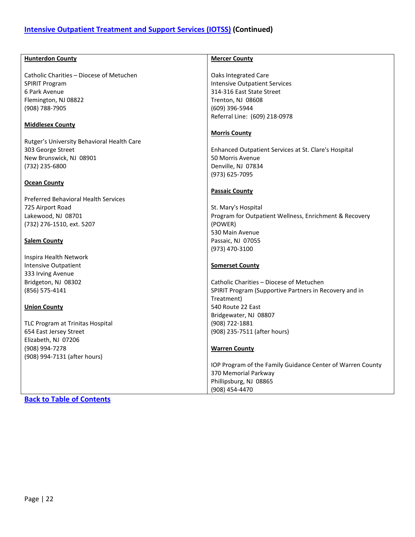### <span id="page-21-0"></span>**[Intensive Outpatient Treatment and Support Services \(IOTSS\)](#page-20-0) (Continued)**

| <b>Hunterdon County</b>                     | <b>Mercer County</b>                                       |
|---------------------------------------------|------------------------------------------------------------|
|                                             |                                                            |
| Catholic Charities - Diocese of Metuchen    | <b>Oaks Integrated Care</b>                                |
| <b>SPIRIT Program</b>                       | <b>Intensive Outpatient Services</b>                       |
| 6 Park Avenue                               | 314-316 East State Street                                  |
| Flemington, NJ 08822                        | Trenton, NJ 08608                                          |
| (908) 788-7905                              | (609) 396-5944                                             |
|                                             | Referral Line: (609) 218-0978                              |
| <b>Middlesex County</b>                     |                                                            |
|                                             | <b>Morris County</b>                                       |
| Rutger's University Behavioral Health Care  |                                                            |
| 303 George Street                           | Enhanced Outpatient Services at St. Clare's Hospital       |
| New Brunswick, NJ 08901                     | 50 Morris Avenue                                           |
| (732) 235-6800                              | Denville, NJ 07834                                         |
|                                             | (973) 625-7095                                             |
| <b>Ocean County</b>                         |                                                            |
|                                             | <b>Passaic County</b>                                      |
| <b>Preferred Behavioral Health Services</b> |                                                            |
| 725 Airport Road                            | St. Mary's Hospital                                        |
|                                             |                                                            |
| Lakewood, NJ 08701                          | Program for Outpatient Wellness, Enrichment & Recovery     |
| (732) 276-1510, ext. 5207                   | (POWER)                                                    |
|                                             | 530 Main Avenue                                            |
| <b>Salem County</b>                         | Passaic, NJ 07055                                          |
|                                             | (973) 470-3100                                             |
| Inspira Health Network                      |                                                            |
| Intensive Outpatient                        | <b>Somerset County</b>                                     |
| 333 Irving Avenue                           |                                                            |
| Bridgeton, NJ 08302                         | Catholic Charities - Diocese of Metuchen                   |
| (856) 575-4141                              | SPIRIT Program (Supportive Partners in Recovery and in     |
|                                             | Treatment)                                                 |
| <b>Union County</b>                         | 540 Route 22 East                                          |
|                                             | Bridgewater, NJ 08807                                      |
| TLC Program at Trinitas Hospital            | (908) 722-1881                                             |
| 654 East Jersey Street                      | (908) 235-7511 (after hours)                               |
| Elizabeth, NJ 07206                         |                                                            |
| (908) 994-7278                              | <b>Warren County</b>                                       |
| (908) 994-7131 (after hours)                |                                                            |
|                                             | IOP Program of the Family Guidance Center of Warren County |
|                                             | 370 Memorial Parkway                                       |
|                                             | Phillipsburg, NJ 08865                                     |
|                                             | (908) 454-4470                                             |
|                                             |                                                            |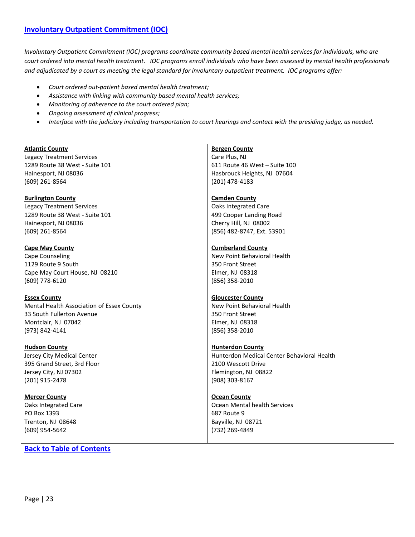### **[Involuntary Outpatient Commitment \(IOC\)](#page-21-0)**

*Involuntary Outpatient Commitment (IOC) programs coordinate community based mental health services for individuals, who are court ordered into mental health treatment. IOC programs enroll individuals who have been assessed by mental health professionals and adjudicated by a court as meeting the legal standard for involuntary outpatient treatment. IOC programs offer:*

- *Court ordered out-patient based mental health treatment;*
- *Assistance with linking with community based mental health services;*
- *Monitoring of adherence to the court ordered plan;*
- *Ongoing assessment of clinical progress;*
- *Interface with the judiciary including transportation to court hearings and contact with the presiding judge, as needed.*

| <b>Atlantic County</b>                    | <b>Bergen County</b>                       |
|-------------------------------------------|--------------------------------------------|
| <b>Legacy Treatment Services</b>          | Care Plus, NJ                              |
| 1289 Route 38 West - Suite 101            | 611 Route 46 West - Suite 100              |
| Hainesport, NJ 08036                      | Hasbrouck Heights, NJ 07604                |
| $(609)$ 261-8564                          | (201) 478-4183                             |
|                                           |                                            |
| <b>Burlington County</b>                  | <b>Camden County</b>                       |
| <b>Legacy Treatment Services</b>          | <b>Oaks Integrated Care</b>                |
| 1289 Route 38 West - Suite 101            | 499 Cooper Landing Road                    |
| Hainesport, NJ 08036                      | Cherry Hill, NJ 08002                      |
| $(609)$ 261-8564                          | (856) 482-8747, Ext. 53901                 |
|                                           |                                            |
| <b>Cape May County</b>                    | <b>Cumberland County</b>                   |
| Cape Counseling                           | New Point Behavioral Health                |
| 1129 Route 9 South                        | 350 Front Street                           |
| Cape May Court House, NJ 08210            | Elmer, NJ 08318                            |
| (609) 778-6120                            | (856) 358-2010                             |
|                                           |                                            |
| <b>Essex County</b>                       | <b>Gloucester County</b>                   |
| Mental Health Association of Essex County | New Point Behavioral Health                |
| 33 South Fullerton Avenue                 | 350 Front Street                           |
| Montclair, NJ 07042                       | Elmer, NJ 08318                            |
| (973) 842-4141                            | (856) 358-2010                             |
|                                           |                                            |
| <b>Hudson County</b>                      | <b>Hunterdon County</b>                    |
| Jersey City Medical Center                | Hunterdon Medical Center Behavioral Health |
| 395 Grand Street, 3rd Floor               | 2100 Wescott Drive                         |
| Jersey City, NJ 07302                     | Flemington, NJ 08822                       |
| (201) 915-2478                            | (908) 303-8167                             |
|                                           |                                            |
| <b>Mercer County</b>                      | <b>Ocean County</b>                        |
| Oaks Integrated Care                      | Ocean Mental health Services               |
| PO Box 1393                               | 687 Route 9                                |
| Trenton, NJ 08648                         | Bayville, NJ 08721                         |

(732) 269-4849

**[Back to Table of Contents](#page-1-0)**

(609) 954-5642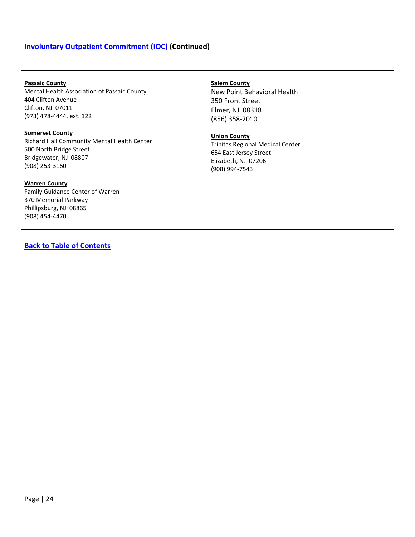# **Involuntary Outpatient Commitment (IOC) (Continued)**

| <b>Passaic County</b>                                                                                                               | <b>Salem County</b>              |
|-------------------------------------------------------------------------------------------------------------------------------------|----------------------------------|
| Mental Health Association of Passaic County                                                                                         | New Point Behavioral Health      |
| 404 Clifton Avenue                                                                                                                  | 350 Front Street                 |
| Clifton, NJ 07011                                                                                                                   | Elmer, NJ 08318                  |
| (973) 478-4444, ext. 122                                                                                                            | (856) 358-2010                   |
| <b>Somerset County</b>                                                                                                              | <b>Union County</b>              |
| Richard Hall Community Mental Health Center                                                                                         | Trinitas Regional Medical Center |
| 500 North Bridge Street                                                                                                             | 654 East Jersey Street           |
| Bridgewater, NJ 08807                                                                                                               | Elizabeth, NJ 07206              |
| (908) 253-3160                                                                                                                      | (908) 994-7543                   |
| <b>Warren County</b><br><b>Family Guidance Center of Warren</b><br>370 Memorial Parkway<br>Phillipsburg, NJ 08865<br>(908) 454-4470 |                                  |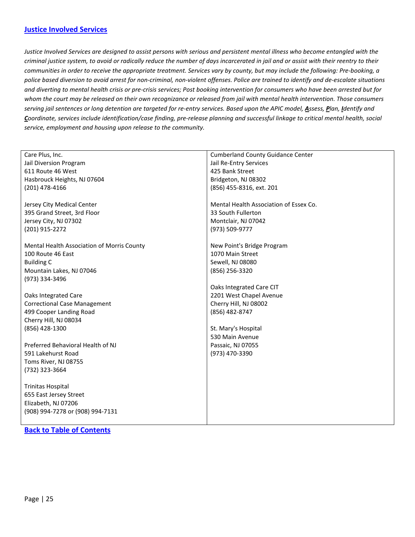### <span id="page-24-0"></span>**[Justice Involved Services](#page-24-0)**

*Justice Involved Services are designed to assist persons with serious and persistent mental illness who become entangled with the criminal justice system, to avoid or radically reduce the number of days incarcerated in jail and or assist with their reentry to their communities in order to receive the appropriate treatment. Services vary by county, but may include the following: Pre-booking, a police based diversion to avoid arrest for non-criminal, non-violent offenses. Police are trained to identify and de-escalate situations and diverting to mental health crisis or pre-crisis services; Post booking intervention for consumers who have been arrested but for whom the court may be released on their own recognizance or released from jail with mental health intervention. Those consumers serving jail sentences or long detention are targeted for re-entry services. Based upon the APIC model, Assess, Plan, Identify and Coordinate, services include identification/case finding, pre-release planning and successful linkage to critical mental health, social service, employment and housing upon release to the community.*

| Care Plus, Inc.                            | <b>Cumberland County Guidance Center</b> |
|--------------------------------------------|------------------------------------------|
| Jail Diversion Program                     | Jail Re-Entry Services                   |
| 611 Route 46 West                          | 425 Bank Street                          |
| Hasbrouck Heights, NJ 07604                | Bridgeton, NJ 08302                      |
| (201) 478-4166                             | (856) 455-8316, ext. 201                 |
|                                            |                                          |
| Jersey City Medical Center                 | Mental Health Association of Essex Co.   |
| 395 Grand Street, 3rd Floor                | 33 South Fullerton                       |
| Jersey City, NJ 07302                      | Montclair, NJ 07042                      |
| (201) 915-2272                             | (973) 509-9777                           |
|                                            |                                          |
| Mental Health Association of Morris County | New Point's Bridge Program               |
| 100 Route 46 East                          | 1070 Main Street                         |
| <b>Building C</b>                          | Sewell, NJ 08080                         |
| Mountain Lakes, NJ 07046                   | (856) 256-3320                           |
| (973) 334-3496                             |                                          |
|                                            | Oaks Integrated Care CIT                 |
| <b>Oaks Integrated Care</b>                | 2201 West Chapel Avenue                  |
| <b>Correctional Case Management</b>        | Cherry Hill, NJ 08002                    |
| 499 Cooper Landing Road                    | (856) 482-8747                           |
| Cherry Hill, NJ 08034                      |                                          |
| (856) 428-1300                             | St. Mary's Hospital                      |
|                                            | 530 Main Avenue                          |
| Preferred Behavioral Health of NJ          | Passaic, NJ 07055                        |
| 591 Lakehurst Road                         | (973) 470-3390                           |
| Toms River, NJ 08755                       |                                          |
| (732) 323-3664                             |                                          |
|                                            |                                          |
| <b>Trinitas Hospital</b>                   |                                          |
| 655 East Jersey Street                     |                                          |
| Elizabeth, NJ 07206                        |                                          |
| (908) 994-7278 or (908) 994-7131           |                                          |
|                                            |                                          |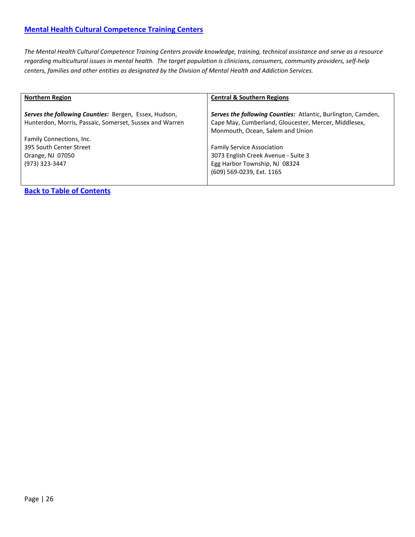<span id="page-25-0"></span>*The Mental Health Cultural Competence Training Centers provide knowledge, training, technical assistance and serve as a resource regarding multicultural issues in mental health. The target population is clinicians, consumers, community providers, self-help centers, families and other entities as designated by the Division of Mental Health and Addiction Services.*

| <b>Northern Region</b>                                                                                           | <b>Central &amp; Southern Regions</b>                                                                                                                           |
|------------------------------------------------------------------------------------------------------------------|-----------------------------------------------------------------------------------------------------------------------------------------------------------------|
| Serves the following Counties: Bergen, Essex, Hudson,<br>Hunterdon, Morris, Passaic, Somerset, Sussex and Warren | <b>Serves the following Counties:</b> Atlantic, Burlington, Camden,<br>Cape May, Cumberland, Gloucester, Mercer, Middlesex,<br>Monmouth, Ocean, Salem and Union |
| Family Connections, Inc.<br>395 South Center Street<br>Orange, NJ 07050<br>(973) 323-3447                        | <b>Family Service Association</b><br>3073 English Creek Avenue - Suite 3<br>Egg Harbor Township, NJ 08324<br>(609) 569-0239, Ext. 1165                          |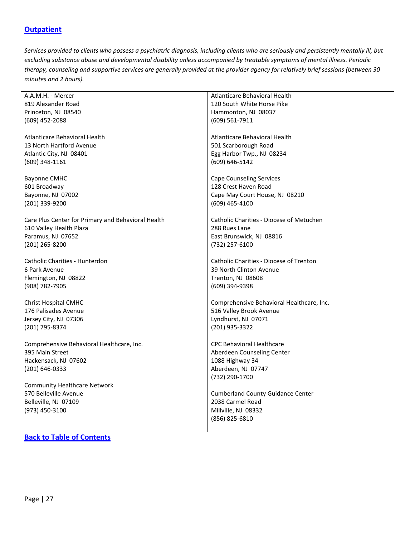### <span id="page-26-0"></span>**[Outpatient](#page-26-0)**

*Services provided to clients who possess a psychiatric diagnosis, including clients who are seriously and persistently mentally ill, but excluding substance abuse and developmental disability unless accompanied by treatable symptoms of mental illness. Periodic therapy, counseling and supportive services are generally provided at the provider agency for relatively brief sessions (between 30 minutes and 2 hours).*

| A.A.M.H. - Mercer                                  | Atlanticare Behavioral Health             |
|----------------------------------------------------|-------------------------------------------|
| 819 Alexander Road                                 | 120 South White Horse Pike                |
| Princeton, NJ 08540                                | Hammonton, NJ 08037                       |
| (609) 452-2088                                     | (609) 561-7911                            |
|                                                    |                                           |
| Atlanticare Behavioral Health                      | Atlanticare Behavioral Health             |
| 13 North Hartford Avenue                           | 501 Scarborough Road                      |
| Atlantic City, NJ 08401                            | Egg Harbor Twp., NJ 08234                 |
| (609) 348-1161                                     | $(609) 646 - 5142$                        |
|                                                    |                                           |
| <b>Bayonne CMHC</b>                                | <b>Cape Counseling Services</b>           |
| 601 Broadway                                       | 128 Crest Haven Road                      |
| Bayonne, NJ 07002                                  | Cape May Court House, NJ 08210            |
| (201) 339-9200                                     | $(609)$ 465-4100                          |
|                                                    |                                           |
| Care Plus Center for Primary and Behavioral Health | Catholic Charities - Diocese of Metuchen  |
| 610 Valley Health Plaza                            | 288 Rues Lane                             |
| Paramus, NJ 07652                                  | East Brunswick, NJ 08816                  |
| (201) 265-8200                                     | (732) 257-6100                            |
|                                                    |                                           |
| Catholic Charities - Hunterdon                     | Catholic Charities - Diocese of Trenton   |
| 6 Park Avenue                                      | 39 North Clinton Avenue                   |
| Flemington, NJ 08822                               | Trenton, NJ 08608                         |
| (908) 782-7905                                     | (609) 394-9398                            |
|                                                    |                                           |
| <b>Christ Hospital CMHC</b>                        | Comprehensive Behavioral Healthcare, Inc. |
| 176 Palisades Avenue                               | 516 Valley Brook Avenue                   |
| Jersey City, NJ 07306                              | Lyndhurst, NJ 07071                       |
| (201) 795-8374                                     | (201) 935-3322                            |
|                                                    |                                           |
| Comprehensive Behavioral Healthcare, Inc.          | <b>CPC Behavioral Healthcare</b>          |
| 395 Main Street                                    | Aberdeen Counseling Center                |
| Hackensack, NJ 07602                               | 1088 Highway 34                           |
| (201) 646-0333                                     | Aberdeen, NJ 07747                        |
|                                                    | (732) 290-1700                            |
| <b>Community Healthcare Network</b>                |                                           |
| 570 Belleville Avenue                              |                                           |
|                                                    | <b>Cumberland County Guidance Center</b>  |
| Belleville, NJ 07109                               | 2038 Carmel Road                          |
| (973) 450-3100                                     | Millville, NJ 08332                       |
|                                                    | (856) 825-6810                            |
|                                                    |                                           |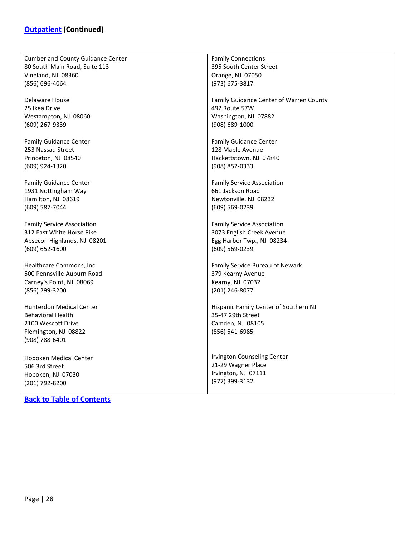| <b>Cumberland County Guidance Center</b> | <b>Family Connections</b>               |
|------------------------------------------|-----------------------------------------|
| 80 South Main Road, Suite 113            | 395 South Center Street                 |
| Vineland, NJ 08360                       | Orange, NJ 07050                        |
| (856) 696-4064                           | (973) 675-3817                          |
|                                          |                                         |
| Delaware House                           | Family Guidance Center of Warren County |
| 25 Ikea Drive                            | 492 Route 57W                           |
| Westampton, NJ 08060                     | Washington, NJ 07882                    |
| (609) 267-9339                           | (908) 689-1000                          |
|                                          |                                         |
| <b>Family Guidance Center</b>            | <b>Family Guidance Center</b>           |
| 253 Nassau Street                        | 128 Maple Avenue                        |
| Princeton, NJ 08540                      | Hackettstown, NJ 07840                  |
|                                          |                                         |
| (609) 924-1320                           | (908) 852-0333                          |
|                                          |                                         |
| <b>Family Guidance Center</b>            | <b>Family Service Association</b>       |
| 1931 Nottingham Way                      | 661 Jackson Road                        |
| Hamilton, NJ 08619                       | Newtonville, NJ 08232                   |
| (609) 587-7044                           | (609) 569-0239                          |
|                                          |                                         |
| <b>Family Service Association</b>        | <b>Family Service Association</b>       |
| 312 East White Horse Pike                | 3073 English Creek Avenue               |
| Absecon Highlands, NJ 08201              | Egg Harbor Twp., NJ 08234               |
| (609) 652-1600                           | (609) 569-0239                          |
|                                          |                                         |
| Healthcare Commons, Inc.                 | Family Service Bureau of Newark         |
| 500 Pennsville-Auburn Road               | 379 Kearny Avenue                       |
| Carney's Point, NJ 08069                 | Kearny, NJ 07032                        |
|                                          |                                         |
| (856) 299-3200                           | (201) 246-8077                          |
|                                          |                                         |
| <b>Hunterdon Medical Center</b>          | Hispanic Family Center of Southern NJ   |
| <b>Behavioral Health</b>                 | 35-47 29th Street                       |
| 2100 Wescott Drive                       | Camden, NJ 08105                        |
| Flemington, NJ 08822                     | (856) 541-6985                          |
| (908) 788-6401                           |                                         |
|                                          |                                         |
| Hoboken Medical Center                   | Irvington Counseling Center             |
| 506 3rd Street                           | 21-29 Wagner Place                      |
| Hoboken, NJ 07030                        | Irvington, NJ 07111                     |
| (201) 792-8200                           | (977) 399-3132                          |
|                                          |                                         |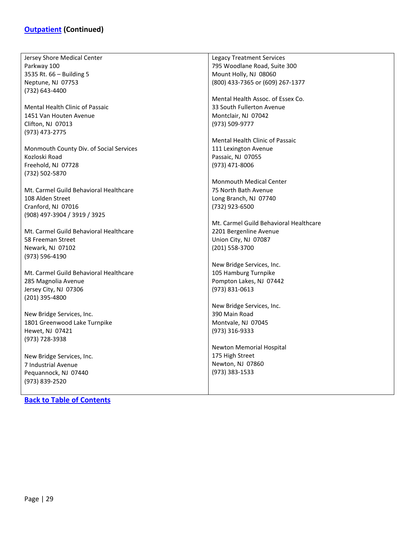# **[Outpatient](#page-26-0) (Continued)**

| Jersey Shore Medical Center                      | <b>Legacy Treatment Services</b>       |
|--------------------------------------------------|----------------------------------------|
| Parkway 100                                      | 795 Woodlane Road, Suite 300           |
| 3535 Rt. 66 - Building 5                         | Mount Holly, NJ 08060                  |
|                                                  |                                        |
| Neptune, NJ 07753                                | (800) 433-7365 or (609) 267-1377       |
| (732) 643-4400                                   |                                        |
|                                                  | Mental Health Assoc. of Essex Co.      |
| <b>Mental Health Clinic of Passaic</b>           | 33 South Fullerton Avenue              |
| 1451 Van Houten Avenue                           | Montclair, NJ 07042                    |
| Clifton, NJ 07013                                | (973) 509-9777                         |
| (973) 473-2775                                   |                                        |
|                                                  | Mental Health Clinic of Passaic        |
| Monmouth County Div. of Social Services          | 111 Lexington Avenue                   |
| Kozloski Road                                    | Passaic, NJ 07055                      |
| Freehold, NJ 07728                               | (973) 471-8006                         |
| (732) 502-5870                                   |                                        |
|                                                  | <b>Monmouth Medical Center</b>         |
| Mt. Carmel Guild Behavioral Healthcare           | 75 North Bath Avenue                   |
| 108 Alden Street                                 | Long Branch, NJ 07740                  |
| Cranford, NJ 07016                               | (732) 923-6500                         |
| (908) 497-3904 / 3919 / 3925                     |                                        |
|                                                  | Mt. Carmel Guild Behavioral Healthcare |
| Mt. Carmel Guild Behavioral Healthcare           | 2201 Bergenline Avenue                 |
| 58 Freeman Street                                | Union City, NJ 07087                   |
| Newark, NJ 07102                                 | (201) 558-3700                         |
| (973) 596-4190                                   |                                        |
|                                                  | New Bridge Services, Inc.              |
| Mt. Carmel Guild Behavioral Healthcare           | 105 Hamburg Turnpike                   |
| 285 Magnolia Avenue                              | Pompton Lakes, NJ 07442                |
| Jersey City, NJ 07306                            | (973) 831-0613                         |
| (201) 395-4800                                   |                                        |
|                                                  | New Bridge Services, Inc.              |
| New Bridge Services, Inc.                        | 390 Main Road                          |
| 1801 Greenwood Lake Turnpike                     | Montvale, NJ 07045                     |
| Hewet, NJ 07421                                  | (973) 316-9333                         |
| (973) 728-3938                                   |                                        |
|                                                  | Newton Memorial Hospital               |
|                                                  | 175 High Street                        |
| New Bridge Services, Inc.<br>7 Industrial Avenue | Newton, NJ 07860                       |
|                                                  | (973) 383-1533                         |
| Pequannock, NJ 07440                             |                                        |
| (973) 839-2520                                   |                                        |
|                                                  |                                        |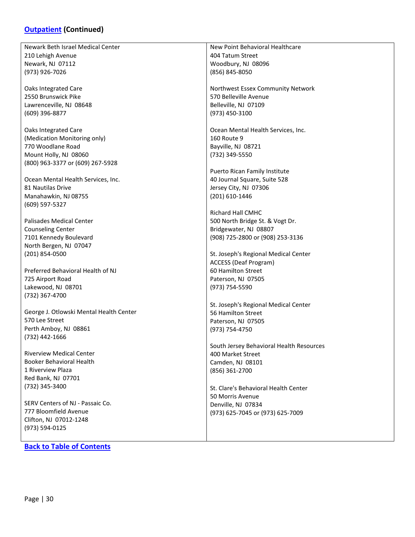### **[Outpatient](#page-26-0) (Continued)**

Newark Beth Israel Medical Center 210 Lehigh Avenue Newark, NJ 07112 (973) 926-7026

Oaks Integrated Care 2550 Brunswick Pike Lawrenceville, NJ 08648 (609) 396-8877

Oaks Integrated Care (Medication Monitoring only) 770 Woodlane Road Mount Holly, NJ 08060 (800) 963-3377 or (609) 267-5928

Ocean Mental Health Services, Inc. 81 Nautilas Drive Manahawkin, NJ 08755 (609) 597-5327

Palisades Medical Center Counseling Center 7101 Kennedy Boulevard North Bergen, NJ 07047 (201) 854-0500

Preferred Behavioral Health of NJ 725 Airport Road Lakewood, NJ 08701 (732) 367-4700

George J. Otlowski Mental Health Center 570 Lee Street Perth Amboy, NJ 08861 (732) 442-1666

Riverview Medical Center Booker Behavioral Health 1 Riverview Plaza Red Bank, NJ 07701 (732) 345-3400

SERV Centers of NJ - Passaic Co. 777 Bloomfield Avenue Clifton, NJ 07012-1248 (973) 594-0125

**[Back to Table of Contents](#page-1-0)**

New Point Behavioral Healthcare 404 Tatum Street Woodbury, NJ 08096 (856) 845-8050

Northwest Essex Community Network 570 Belleville Avenue Belleville, NJ 07109 (973) 450-3100

Ocean Mental Health Services, Inc. 160 Route 9 Bayville, NJ 08721 (732) 349-5550

Puerto Rican Family Institute 40 Journal Square, Suite 528 Jersey City, NJ 07306 (201) 610-1446

Richard Hall CMHC 500 North Bridge St. & Vogt Dr. Bridgewater, NJ 08807 (908) 725-2800 or (908) 253-3136

St. Joseph's Regional Medical Center ACCESS (Deaf Program) 60 Hamilton Street Paterson, NJ 07505 (973) 754-5590

St. Joseph's Regional Medical Center 56 Hamilton Street Paterson, NJ 07505 (973) 754-4750

South Jersey Behavioral Health Resources 400 Market Street Camden, NJ 08101 (856) 361-2700

St. Clare's Behavioral Health Center 50 Morris Avenue Denville, NJ 07834 (973) 625-7045 or (973) 625-7009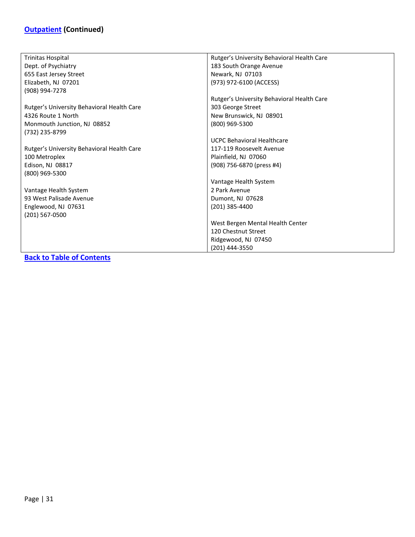# **[Outpatient](#page-26-0) (Continued)**

| Trinitas Hospital                          | Rutger's University Behavioral Health Care |
|--------------------------------------------|--------------------------------------------|
| Dept. of Psychiatry                        | 183 South Orange Avenue                    |
| 655 East Jersey Street                     | Newark, NJ 07103                           |
| Elizabeth, NJ 07201                        | (973) 972-6100 (ACCESS)                    |
| (908) 994-7278                             |                                            |
|                                            | Rutger's University Behavioral Health Care |
| Rutger's University Behavioral Health Care | 303 George Street                          |
| 4326 Route 1 North                         | New Brunswick, NJ 08901                    |
| Monmouth Junction, NJ 08852                | (800) 969-5300                             |
| (732) 235-8799                             |                                            |
|                                            | <b>UCPC Behavioral Healthcare</b>          |
| Rutger's University Behavioral Health Care | 117-119 Roosevelt Avenue                   |
| 100 Metroplex                              | Plainfield, NJ 07060                       |
| Edison, NJ 08817                           | (908) 756-6870 (press #4)                  |
| (800) 969-5300                             |                                            |
|                                            | Vantage Health System                      |
| Vantage Health System                      | 2 Park Avenue                              |
| 93 West Palisade Avenue                    | Dumont, NJ 07628                           |
| Englewood, NJ 07631                        | (201) 385-4400                             |
| (201) 567-0500                             |                                            |
|                                            | West Bergen Mental Health Center           |
|                                            | 120 Chestnut Street                        |
|                                            | Ridgewood, NJ 07450                        |
|                                            | (201) 444-3550                             |
| Dealers Table of Contains                  |                                            |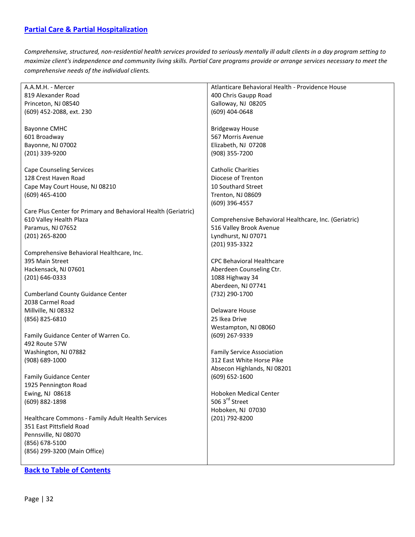### <span id="page-31-0"></span>**[Partial Care & Partial Hospitalization](#page-31-0)**

*Comprehensive, structured, non-residential health services provided to seriously mentally ill adult clients in a day program setting to maximize client's independence and community living skills. Partial Care programs provide or arrange services necessary to meet the comprehensive needs of the individual clients.*

| A.A.M.H. - Mercer                                              | Atlanticare Behavioral Health - Providence House      |
|----------------------------------------------------------------|-------------------------------------------------------|
| 819 Alexander Road                                             | 400 Chris Gaupp Road                                  |
| Princeton, NJ 08540                                            | Galloway, NJ 08205                                    |
| (609) 452-2088, ext. 230                                       | $(609)$ 404-0648                                      |
|                                                                |                                                       |
| <b>Bayonne CMHC</b>                                            | <b>Bridgeway House</b>                                |
| 601 Broadway                                                   | 567 Morris Avenue                                     |
| Bayonne, NJ 07002                                              | Elizabeth, NJ 07208                                   |
| (201) 339-9200                                                 |                                                       |
|                                                                | (908) 355-7200                                        |
| <b>Cape Counseling Services</b>                                | <b>Catholic Charities</b>                             |
| 128 Crest Haven Road                                           |                                                       |
|                                                                | Diocese of Trenton                                    |
| Cape May Court House, NJ 08210                                 | 10 Southard Street                                    |
| $(609)$ 465-4100                                               | Trenton, NJ 08609                                     |
|                                                                | (609) 396-4557                                        |
| Care Plus Center for Primary and Behavioral Health (Geriatric) |                                                       |
| 610 Valley Health Plaza                                        | Comprehensive Behavioral Healthcare, Inc. (Geriatric) |
| Paramus, NJ 07652                                              | 516 Valley Brook Avenue                               |
| (201) 265-8200                                                 | Lyndhurst, NJ 07071                                   |
|                                                                | (201) 935-3322                                        |
| Comprehensive Behavioral Healthcare, Inc.                      |                                                       |
| 395 Main Street                                                | <b>CPC Behavioral Healthcare</b>                      |
| Hackensack, NJ 07601                                           | Aberdeen Counseling Ctr.                              |
| (201) 646-0333                                                 | 1088 Highway 34                                       |
|                                                                | Aberdeen, NJ 07741                                    |
| <b>Cumberland County Guidance Center</b>                       | (732) 290-1700                                        |
|                                                                |                                                       |
| 2038 Carmel Road                                               |                                                       |
| Millville, NJ 08332                                            | Delaware House                                        |
| (856) 825-6810                                                 | 25 Ikea Drive                                         |
|                                                                | Westampton, NJ 08060                                  |
| Family Guidance Center of Warren Co.                           | (609) 267-9339                                        |
| 492 Route 57W                                                  |                                                       |
| Washington, NJ 07882                                           | <b>Family Service Association</b>                     |
| (908) 689-1000                                                 | 312 East White Horse Pike                             |
|                                                                | Absecon Highlands, NJ 08201                           |
| <b>Family Guidance Center</b>                                  | $(609) 652 - 1600$                                    |
| 1925 Pennington Road                                           |                                                       |
| Ewing, NJ 08618                                                | <b>Hoboken Medical Center</b>                         |
| (609) 882-1898                                                 | 506 3 <sup>rd</sup> Street                            |
|                                                                | Hoboken, NJ 07030                                     |
| Healthcare Commons - Family Adult Health Services              | (201) 792-8200                                        |
| 351 East Pittsfield Road                                       |                                                       |
|                                                                |                                                       |
| Pennsville, NJ 08070                                           |                                                       |
| (856) 678-5100                                                 |                                                       |
| (856) 299-3200 (Main Office)                                   |                                                       |
|                                                                |                                                       |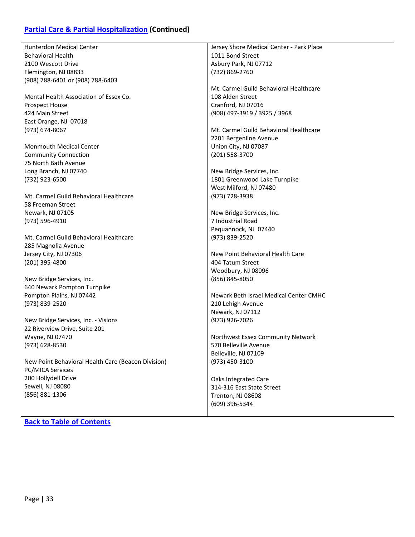# **[Partial Care & Partial Hospitalization](#page-31-0) (Continued)**

| <b>Hunterdon Medical Center</b>                    | Jersey Shore Medical Center - Park Place |
|----------------------------------------------------|------------------------------------------|
| <b>Behavioral Health</b>                           | 1011 Bond Street                         |
| 2100 Wescott Drive                                 | Asbury Park, NJ 07712                    |
| Flemington, NJ 08833                               | (732) 869-2760                           |
| (908) 788-6401 or (908) 788-6403                   |                                          |
|                                                    | Mt. Carmel Guild Behavioral Healthcare   |
| Mental Health Association of Essex Co.             | 108 Alden Street                         |
| <b>Prospect House</b>                              | Cranford, NJ 07016                       |
| 424 Main Street                                    | (908) 497-3919 / 3925 / 3968             |
| East Orange, NJ 07018                              |                                          |
| (973) 674-8067                                     | Mt. Carmel Guild Behavioral Healthcare   |
|                                                    | 2201 Bergenline Avenue                   |
| <b>Monmouth Medical Center</b>                     | Union City, NJ 07087                     |
| <b>Community Connection</b>                        | (201) 558-3700                           |
| 75 North Bath Avenue                               |                                          |
|                                                    |                                          |
| Long Branch, NJ 07740                              | New Bridge Services, Inc.                |
| (732) 923-6500                                     | 1801 Greenwood Lake Turnpike             |
|                                                    | West Milford, NJ 07480                   |
| Mt. Carmel Guild Behavioral Healthcare             | (973) 728-3938                           |
| 58 Freeman Street                                  |                                          |
| Newark, NJ 07105                                   | New Bridge Services, Inc.                |
| (973) 596-4910                                     | 7 Industrial Road                        |
|                                                    | Pequannock, NJ 07440                     |
| Mt. Carmel Guild Behavioral Healthcare             | (973) 839-2520                           |
| 285 Magnolia Avenue                                |                                          |
| Jersey City, NJ 07306                              | New Point Behavioral Health Care         |
| (201) 395-4800                                     | 404 Tatum Street                         |
|                                                    | Woodbury, NJ 08096                       |
| New Bridge Services, Inc.                          | (856) 845-8050                           |
| 640 Newark Pompton Turnpike                        |                                          |
| Pompton Plains, NJ 07442                           | Newark Beth Israel Medical Center CMHC   |
| (973) 839-2520                                     | 210 Lehigh Avenue                        |
|                                                    | Newark, NJ 07112                         |
| New Bridge Services, Inc. - Visions                | (973) 926-7026                           |
| 22 Riverview Drive, Suite 201                      |                                          |
| Wayne, NJ 07470                                    | Northwest Essex Community Network        |
| (973) 628-8530                                     | 570 Belleville Avenue                    |
|                                                    | Belleville, NJ 07109                     |
| New Point Behavioral Health Care (Beacon Division) | (973) 450-3100                           |
| <b>PC/MICA Services</b>                            |                                          |
| 200 Hollydell Drive                                | Oaks Integrated Care                     |
| Sewell, NJ 08080                                   | 314-316 East State Street                |
| (856) 881-1306                                     | Trenton, NJ 08608                        |
|                                                    | (609) 396-5344                           |
|                                                    |                                          |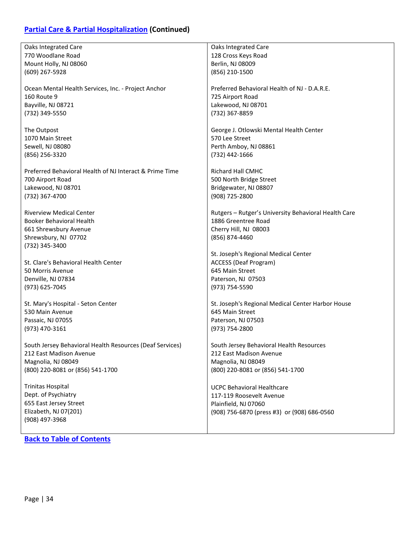# **[Partial Care & Partial Hospitalization](#page-31-0) (Continued)**

| Oaks Integrated Care                                     | Oaks Integrated Care                                 |
|----------------------------------------------------------|------------------------------------------------------|
| 770 Woodlane Road                                        | 128 Cross Keys Road                                  |
| Mount Holly, NJ 08060                                    | Berlin, NJ 08009                                     |
|                                                          |                                                      |
| $(609)$ 267-5928                                         | (856) 210-1500                                       |
|                                                          |                                                      |
| Ocean Mental Health Services, Inc. - Project Anchor      | Preferred Behavioral Health of NJ - D.A.R.E.         |
| 160 Route 9                                              | 725 Airport Road                                     |
|                                                          |                                                      |
| Bayville, NJ 08721                                       | Lakewood, NJ 08701                                   |
| (732) 349-5550                                           | (732) 367-8859                                       |
|                                                          |                                                      |
| The Outpost                                              | George J. Otlowski Mental Health Center              |
| 1070 Main Street                                         | 570 Lee Street                                       |
|                                                          |                                                      |
| Sewell, NJ 08080                                         | Perth Amboy, NJ 08861                                |
| (856) 256-3320                                           | (732) 442-1666                                       |
|                                                          |                                                      |
| Preferred Behavioral Health of NJ Interact & Prime Time  | Richard Hall CMHC                                    |
|                                                          |                                                      |
| 700 Airport Road                                         | 500 North Bridge Street                              |
| Lakewood, NJ 08701                                       | Bridgewater, NJ 08807                                |
| (732) 367-4700                                           | (908) 725-2800                                       |
|                                                          |                                                      |
| <b>Riverview Medical Center</b>                          | Rutgers - Rutger's University Behavioral Health Care |
|                                                          |                                                      |
| <b>Booker Behavioral Health</b>                          | 1886 Greentree Road                                  |
| 661 Shrewsbury Avenue                                    | Cherry Hill, NJ 08003                                |
| Shrewsbury, NJ 07702                                     | (856) 874-4460                                       |
| (732) 345-3400                                           |                                                      |
|                                                          |                                                      |
|                                                          | St. Joseph's Regional Medical Center                 |
| St. Clare's Behavioral Health Center                     | <b>ACCESS (Deaf Program)</b>                         |
| 50 Morris Avenue                                         | 645 Main Street                                      |
| Denville, NJ 07834                                       | Paterson, NJ 07503                                   |
| (973) 625-7045                                           | (973) 754-5590                                       |
|                                                          |                                                      |
|                                                          |                                                      |
| St. Mary's Hospital - Seton Center                       | St. Joseph's Regional Medical Center Harbor House    |
| 530 Main Avenue                                          | 645 Main Street                                      |
| Passaic, NJ 07055                                        | Paterson, NJ 07503                                   |
| (973) 470-3161                                           |                                                      |
|                                                          | (973) 754-2800                                       |
|                                                          |                                                      |
| South Jersey Behavioral Health Resources (Deaf Services) | South Jersey Behavioral Health Resources             |
| 212 East Madison Avenue                                  | 212 East Madison Avenue                              |
| Magnolia, NJ 08049                                       | Magnolia, NJ 08049                                   |
|                                                          |                                                      |
| (800) 220-8081 or (856) 541-1700                         | (800) 220-8081 or (856) 541-1700                     |
|                                                          |                                                      |
| <b>Trinitas Hospital</b>                                 | <b>UCPC Behavioral Healthcare</b>                    |
| Dept. of Psychiatry                                      | 117-119 Roosevelt Avenue                             |
| 655 East Jersey Street                                   | Plainfield, NJ 07060                                 |
|                                                          |                                                      |
| Elizabeth, NJ 07(201)                                    | (908) 756-6870 (press #3) or (908) 686-0560          |
| (908) 497-3968                                           |                                                      |
|                                                          |                                                      |
|                                                          |                                                      |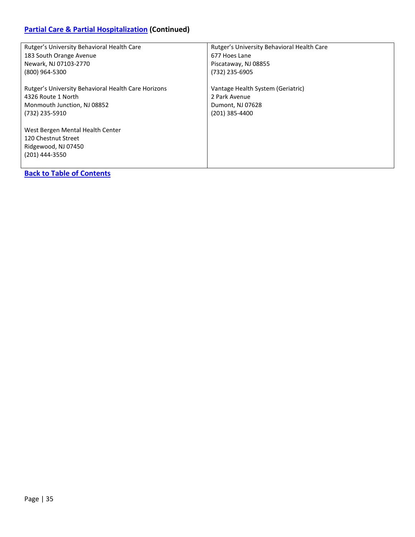# **[Partial Care & Partial Hospitalization](#page-31-0) (Continued)**

| Rutger's University Behavioral Health Care          | Rutger's University Behavioral Health Care |
|-----------------------------------------------------|--------------------------------------------|
| 183 South Orange Avenue                             | 677 Hoes Lane                              |
| Newark, NJ 07103-2770                               | Piscataway, NJ 08855                       |
| (800) 964-5300                                      | (732) 235-6905                             |
| Rutger's University Behavioral Health Care Horizons | Vantage Health System (Geriatric)          |
| 4326 Route 1 North                                  | 2 Park Avenue                              |
| Monmouth Junction, NJ 08852                         | Dumont, NJ 07628                           |
| (732) 235-5910                                      | (201) 385-4400                             |
|                                                     |                                            |
| West Bergen Mental Health Center                    |                                            |
| 120 Chestnut Street                                 |                                            |
| Ridgewood, NJ 07450                                 |                                            |
| (201) 444-3550                                      |                                            |
|                                                     |                                            |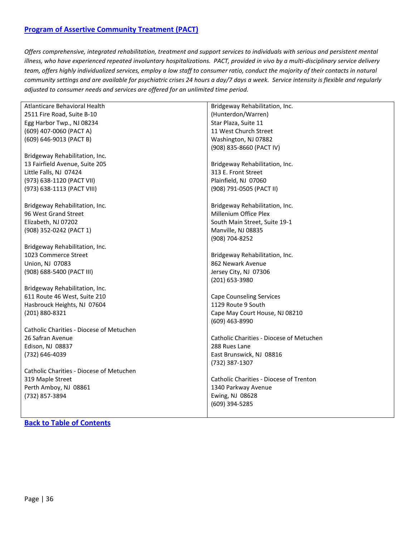### <span id="page-35-0"></span>**[Program of Assertive Community Treatment \(PACT\)](#page-35-0)**

*Offers comprehensive, integrated rehabilitation, treatment and support services to individuals with serious and persistent mental illness, who have experienced repeated involuntary hospitalizations. PACT, provided in vivo by a multi-disciplinary service delivery team, offers highly individualized services, employ a low staff to consumer ratio, conduct the majority of their contacts in natural community settings and are available for psychiatric crises 24 hours a day/7 days a week. Service intensity is flexible and regularly adjusted to consumer needs and services are offered for an unlimited time period.*

| Atlanticare Behavioral Health            | Bridgeway Rehabilitation, Inc.           |
|------------------------------------------|------------------------------------------|
| 2511 Fire Road, Suite B-10               | (Hunterdon/Warren)                       |
| Egg Harbor Twp., NJ 08234                | Star Plaza, Suite 11                     |
| (609) 407-0060 (PACT A)                  | 11 West Church Street                    |
| (609) 646-9013 (PACT B)                  | Washington, NJ 07882                     |
|                                          | (908) 835-8660 (PACT IV)                 |
| Bridgeway Rehabilitation, Inc.           |                                          |
| 13 Fairfield Avenue, Suite 205           | Bridgeway Rehabilitation, Inc.           |
| Little Falls, NJ 07424                   | 313 E. Front Street                      |
| (973) 638-1120 (PACT VII)                | Plainfield, NJ 07060                     |
| (973) 638-1113 (PACT VIII)               | (908) 791-0505 (PACT II)                 |
|                                          |                                          |
| Bridgeway Rehabilitation, Inc.           | Bridgeway Rehabilitation, Inc.           |
| 96 West Grand Street                     | Millenium Office Plex                    |
| Elizabeth, NJ 07202                      | South Main Street, Suite 19-1            |
| (908) 352-0242 (PACT 1)                  | Manville, NJ 08835                       |
|                                          | (908) 704-8252                           |
| Bridgeway Rehabilitation, Inc.           |                                          |
| 1023 Commerce Street                     | Bridgeway Rehabilitation, Inc.           |
| Union, NJ 07083                          | 862 Newark Avenue                        |
| (908) 688-5400 (PACT III)                | Jersey City, NJ 07306                    |
|                                          | (201) 653-3980                           |
| Bridgeway Rehabilitation, Inc.           |                                          |
| 611 Route 46 West, Suite 210             | <b>Cape Counseling Services</b>          |
| Hasbrouck Heights, NJ 07604              | 1129 Route 9 South                       |
| (201) 880-8321                           | Cape May Court House, NJ 08210           |
|                                          | (609) 463-8990                           |
| Catholic Charities - Diocese of Metuchen |                                          |
| 26 Safran Avenue                         | Catholic Charities - Diocese of Metuchen |
| Edison, NJ 08837                         | 288 Rues Lane                            |
| (732) 646-4039                           | East Brunswick, NJ 08816                 |
|                                          | (732) 387-1307                           |
| Catholic Charities - Diocese of Metuchen |                                          |
| 319 Maple Street                         | Catholic Charities - Diocese of Trenton  |
| Perth Amboy, NJ 08861                    | 1340 Parkway Avenue                      |
| (732) 857-3894                           | Ewing, NJ 08628                          |
|                                          | (609) 394-5285                           |
|                                          |                                          |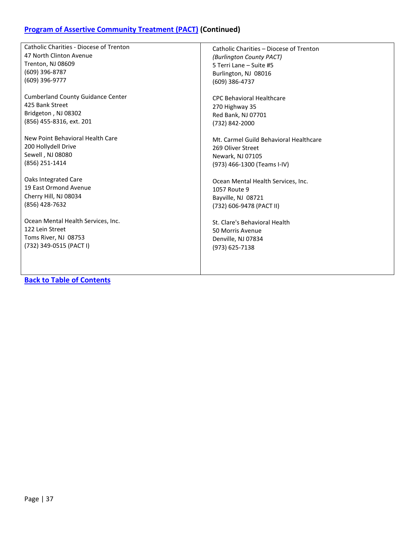# **[Program of Assertive Community Treatment \(PACT\)](#page-35-0) (Continued)**

| <b>Catholic Charities - Diocese of Trenton</b> | Catholic Charities - Diocese of Trenton |
|------------------------------------------------|-----------------------------------------|
| 47 North Clinton Avenue                        | (Burlington County PACT)                |
| Trenton, NJ 08609                              | 5 Terri Lane - Suite #5                 |
| $(609)$ 396-8787                               | Burlington, NJ 08016                    |
| (609) 396-9777                                 | (609) 386-4737                          |
| <b>Cumberland County Guidance Center</b>       | <b>CPC Behavioral Healthcare</b>        |
| 425 Bank Street                                | 270 Highway 35                          |
| Bridgeton, NJ 08302                            | Red Bank, NJ 07701                      |
| (856) 455-8316, ext. 201                       | (732) 842-2000                          |
| New Point Behavioral Health Care               | Mt. Carmel Guild Behavioral Healthcare  |
| 200 Hollydell Drive                            | 269 Oliver Street                       |
| Sewell, NJ 08080                               | Newark, NJ 07105                        |
| (856) 251-1414                                 | (973) 466-1300 (Teams I-IV)             |
| Oaks Integrated Care                           | Ocean Mental Health Services, Inc.      |
| 19 East Ormond Avenue                          | 1057 Route 9                            |
| Cherry Hill, NJ 08034                          | Bayville, NJ 08721                      |
| (856) 428-7632                                 | (732) 606-9478 (PACT II)                |
| Ocean Mental Health Services, Inc.             | St. Clare's Behavioral Health           |
| 122 Lein Street                                | 50 Morris Avenue                        |
| Toms River, NJ 08753                           | Denville, NJ 07834                      |
| (732) 349-0515 (PACT I)                        | (973) 625-7138                          |
|                                                |                                         |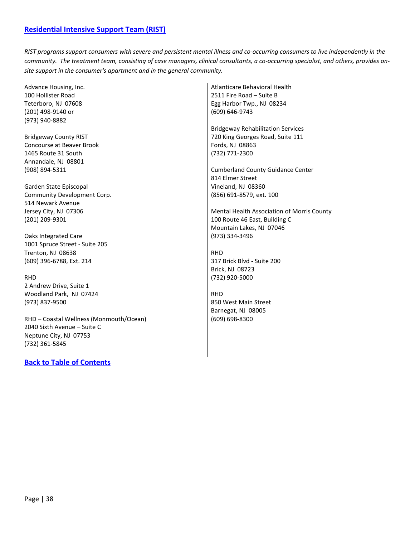<span id="page-37-0"></span>*RIST programs support consumers with severe and persistent mental illness and co-occurring consumers to live independently in the community. The treatment team, consisting of case managers, clinical consultants, a co-occurring specialist, and others, provides onsite support in the consumer's apartment and in the general community.*

|                                         | Atlanticare Behavioral Health              |
|-----------------------------------------|--------------------------------------------|
| Advance Housing, Inc.                   |                                            |
| 100 Hollister Road                      | 2511 Fire Road - Suite B                   |
| Teterboro, NJ 07608                     | Egg Harbor Twp., NJ 08234                  |
| (201) 498-9140 or                       | (609) 646-9743                             |
| (973) 940-8882                          |                                            |
|                                         | <b>Bridgeway Rehabilitation Services</b>   |
| <b>Bridgeway County RIST</b>            | 720 King Georges Road, Suite 111           |
| <b>Concourse at Beaver Brook</b>        | Fords, NJ 08863                            |
| 1465 Route 31 South                     | (732) 771-2300                             |
| Annandale, NJ 08801                     |                                            |
| (908) 894-5311                          | <b>Cumberland County Guidance Center</b>   |
|                                         | 814 Elmer Street                           |
| Garden State Episcopal                  | Vineland, NJ 08360                         |
| Community Development Corp.             | (856) 691-8579, ext. 100                   |
| 514 Newark Avenue                       |                                            |
| Jersey City, NJ 07306                   | Mental Health Association of Morris County |
| (201) 209-9301                          | 100 Route 46 East, Building C              |
|                                         | Mountain Lakes, NJ 07046                   |
| Oaks Integrated Care                    | (973) 334-3496                             |
| 1001 Spruce Street - Suite 205          |                                            |
| Trenton, NJ 08638                       | <b>RHD</b>                                 |
| (609) 396-6788, Ext. 214                | 317 Brick Blvd - Suite 200                 |
|                                         | Brick, NJ 08723                            |
| <b>RHD</b>                              | (732) 920-5000                             |
| 2 Andrew Drive, Suite 1                 |                                            |
| Woodland Park, NJ 07424                 | <b>RHD</b>                                 |
| (973) 837-9500                          | 850 West Main Street                       |
|                                         | Barnegat, NJ 08005                         |
| RHD - Coastal Wellness (Monmouth/Ocean) | (609) 698-8300                             |
| 2040 Sixth Avenue - Suite C             |                                            |
| Neptune City, NJ 07753                  |                                            |
| (732) 361-5845                          |                                            |
|                                         |                                            |
|                                         |                                            |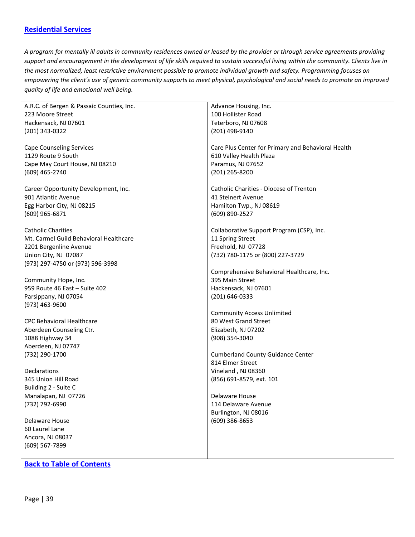### <span id="page-38-0"></span>**[Residential Services](#page-38-0)**

*A program for mentally ill adults in community residences owned or leased by the provider or through service agreements providing support and encouragement in the development of life skills required to sustain successful living within the community. Clients live in the most normalized, least restrictive environment possible to promote individual growth and safety. Programming focuses on empowering the client's use of generic community supports to meet physical, psychological and social needs to promote an improved quality of life and emotional well being.*

| A.R.C. of Bergen & Passaic Counties, Inc.             | Advance Housing, Inc.                              |
|-------------------------------------------------------|----------------------------------------------------|
| 223 Moore Street                                      | 100 Hollister Road                                 |
| Hackensack, NJ 07601                                  | Teterboro, NJ 07608                                |
| (201) 343-0322                                        | (201) 498-9140                                     |
|                                                       |                                                    |
| <b>Cape Counseling Services</b>                       | Care Plus Center for Primary and Behavioral Health |
| 1129 Route 9 South                                    | 610 Valley Health Plaza                            |
| Cape May Court House, NJ 08210                        | Paramus, NJ 07652                                  |
| (609) 465-2740                                        | (201) 265-8200                                     |
|                                                       |                                                    |
| Career Opportunity Development, Inc.                  | Catholic Charities - Diocese of Trenton            |
| 901 Atlantic Avenue                                   | 41 Steinert Avenue                                 |
| Egg Harbor City, NJ 08215                             | Hamilton Twp., NJ 08619                            |
| (609) 965-6871                                        | (609) 890-2527                                     |
|                                                       |                                                    |
| <b>Catholic Charities</b>                             | Collaborative Support Program (CSP), Inc.          |
| Mt. Carmel Guild Behavioral Healthcare                | 11 Spring Street                                   |
| 2201 Bergenline Avenue                                | Freehold, NJ 07728                                 |
| Union City, NJ 07087                                  | (732) 780-1175 or (800) 227-3729                   |
| (973) 297-4750 or (973) 596-3998                      |                                                    |
|                                                       | Comprehensive Behavioral Healthcare, Inc.          |
|                                                       | 395 Main Street                                    |
| Community Hope, Inc.<br>959 Route 46 East - Suite 402 | Hackensack, NJ 07601                               |
|                                                       |                                                    |
| Parsippany, NJ 07054                                  | (201) 646-0333                                     |
| (973) 463-9600                                        |                                                    |
|                                                       | <b>Community Access Unlimited</b>                  |
| <b>CPC Behavioral Healthcare</b>                      | 80 West Grand Street                               |
| Aberdeen Counseling Ctr.                              | Elizabeth, NJ 07202                                |
| 1088 Highway 34                                       | $(908)$ 354-3040                                   |
| Aberdeen, NJ 07747                                    |                                                    |
| (732) 290-1700                                        | <b>Cumberland County Guidance Center</b>           |
|                                                       | 814 Elmer Street                                   |
| Declarations                                          | Vineland, NJ 08360                                 |
| 345 Union Hill Road                                   | (856) 691-8579, ext. 101                           |
| Building 2 - Suite C                                  |                                                    |
| Manalapan, NJ 07726                                   | Delaware House                                     |
| (732) 792-6990                                        | 114 Delaware Avenue                                |
|                                                       | Burlington, NJ 08016                               |
| Delaware House                                        | $(609)$ 386-8653                                   |
| 60 Laurel Lane                                        |                                                    |
| Ancora, NJ 08037                                      |                                                    |
| (609) 567-7899                                        |                                                    |
|                                                       |                                                    |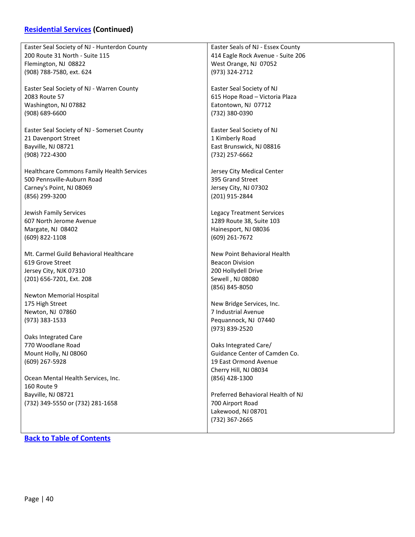# **[Residential Services](#page-38-0) (Continued)**

| Easter Seal Society of NJ - Hunterdon County | Easter Seals of NJ - Essex County |
|----------------------------------------------|-----------------------------------|
| 200 Route 31 North - Suite 115               | 414 Eagle Rock Avenue - Suite 206 |
| Flemington, NJ 08822                         | West Orange, NJ 07052             |
| (908) 788-7580, ext. 624                     | (973) 324-2712                    |
|                                              |                                   |
| Easter Seal Society of NJ - Warren County    | Easter Seal Society of NJ         |
|                                              |                                   |
| 2083 Route 57                                | 615 Hope Road - Victoria Plaza    |
| Washington, NJ 07882                         | Eatontown, NJ 07712               |
| $(908) 689 - 6600$                           | (732) 380-0390                    |
|                                              |                                   |
| Easter Seal Society of NJ - Somerset County  | Easter Seal Society of NJ         |
| 21 Davenport Street                          | 1 Kimberly Road                   |
| Bayville, NJ 08721                           | East Brunswick, NJ 08816          |
| (908) 722-4300                               | (732) 257-6662                    |
|                                              |                                   |
|                                              |                                   |
| Healthcare Commons Family Health Services    | Jersey City Medical Center        |
| 500 Pennsville-Auburn Road                   | 395 Grand Street                  |
| Carney's Point, NJ 08069                     | Jersey City, NJ 07302             |
| (856) 299-3200                               | (201) 915-2844                    |
|                                              |                                   |
| Jewish Family Services                       | <b>Legacy Treatment Services</b>  |
| 607 North Jerome Avenue                      | 1289 Route 38, Suite 103          |
| Margate, NJ 08402                            | Hainesport, NJ 08036              |
|                                              |                                   |
| (609) 822-1108                               | $(609)$ 261-7672                  |
|                                              |                                   |
| Mt. Carmel Guild Behavioral Healthcare       | New Point Behavioral Health       |
| 619 Grove Street                             | <b>Beacon Division</b>            |
| Jersey City, NJK 07310                       | 200 Hollydell Drive               |
| (201) 656-7201, Ext. 208                     | Sewell, NJ 08080                  |
|                                              | (856) 845-8050                    |
| Newton Memorial Hospital                     |                                   |
| 175 High Street                              | New Bridge Services, Inc.         |
| Newton, NJ 07860                             | 7 Industrial Avenue               |
| (973) 383-1533                               | Pequannock, NJ 07440              |
|                                              |                                   |
|                                              | (973) 839-2520                    |
| Oaks Integrated Care                         |                                   |
| 770 Woodlane Road                            | Oaks Integrated Care/             |
| Mount Holly, NJ 08060                        | Guidance Center of Camden Co.     |
| (609) 267-5928                               | 19 East Ormond Avenue             |
|                                              | Cherry Hill, NJ 08034             |
| Ocean Mental Health Services, Inc.           | (856) 428-1300                    |
| 160 Route 9                                  |                                   |
|                                              |                                   |
| Bayville, NJ 08721                           | Preferred Behavioral Health of NJ |
| (732) 349-5550 or (732) 281-1658             | 700 Airport Road                  |
|                                              | Lakewood, NJ 08701                |
|                                              | (732) 367-2665                    |
|                                              |                                   |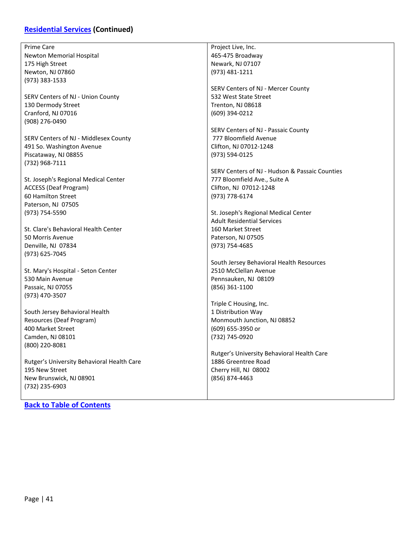# **[Residential Services](#page-38-0) (Continued)**

| Prime Care                                 | Project Live, Inc.                             |
|--------------------------------------------|------------------------------------------------|
| Newton Memorial Hospital                   | 465-475 Broadway                               |
|                                            |                                                |
| 175 High Street                            | Newark, NJ 07107                               |
| Newton, NJ 07860                           | (973) 481-1211                                 |
| (973) 383-1533                             |                                                |
|                                            | SERV Centers of NJ - Mercer County             |
| SERV Centers of NJ - Union County          | 532 West State Street                          |
| 130 Dermody Street                         | Trenton, NJ 08618                              |
| Cranford, NJ 07016                         | (609) 394-0212                                 |
| (908) 276-0490                             |                                                |
|                                            | SERV Centers of NJ - Passaic County            |
| SERV Centers of NJ - Middlesex County      | 777 Bloomfield Avenue                          |
| 491 So. Washington Avenue                  | Clifton, NJ 07012-1248                         |
| Piscataway, NJ 08855                       | (973) 594-0125                                 |
| (732) 968-7111                             |                                                |
|                                            | SERV Centers of NJ - Hudson & Passaic Counties |
| St. Joseph's Regional Medical Center       | 777 Bloomfield Ave., Suite A                   |
| <b>ACCESS (Deaf Program)</b>               | Clifton, NJ 07012-1248                         |
|                                            |                                                |
| 60 Hamilton Street                         | (973) 778-6174                                 |
| Paterson, NJ 07505                         |                                                |
| (973) 754-5590                             | St. Joseph's Regional Medical Center           |
|                                            | <b>Adult Residential Services</b>              |
| St. Clare's Behavioral Health Center       | 160 Market Street                              |
| 50 Morris Avenue                           | Paterson, NJ 07505                             |
| Denville, NJ 07834                         | (973) 754-4685                                 |
| (973) 625-7045                             |                                                |
|                                            | South Jersey Behavioral Health Resources       |
| St. Mary's Hospital - Seton Center         | 2510 McClellan Avenue                          |
| 530 Main Avenue                            | Pennsauken, NJ 08109                           |
| Passaic, NJ 07055                          | $(856)$ 361-1100                               |
| (973) 470-3507                             |                                                |
|                                            | Triple C Housing, Inc.                         |
| South Jersey Behavioral Health             | 1 Distribution Way                             |
| Resources (Deaf Program)                   | Monmouth Junction, NJ 08852                    |
| 400 Market Street                          | (609) 655-3950 or                              |
|                                            |                                                |
| Camden, NJ 08101                           | (732) 745-0920                                 |
| (800) 220-8081                             |                                                |
|                                            | Rutger's University Behavioral Health Care     |
| Rutger's University Behavioral Health Care | 1886 Greentree Road                            |
| 195 New Street                             | Cherry Hill, NJ 08002                          |
| New Brunswick, NJ 08901                    | (856) 874-4463                                 |
| (732) 235-6903                             |                                                |
|                                            |                                                |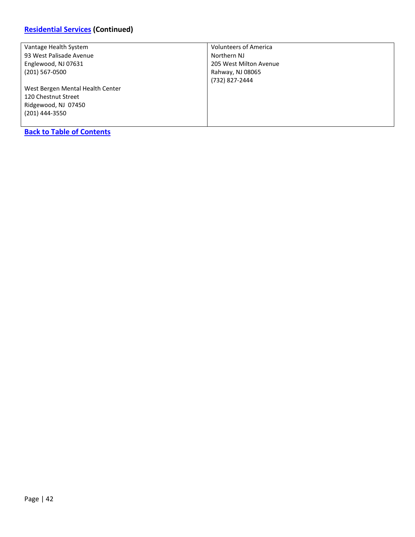### **[Residential Services](#page-38-0) (Continued)**

| Vantage Health System            | <b>Volunteers of America</b> |
|----------------------------------|------------------------------|
| 93 West Palisade Avenue          | Northern NJ                  |
| Englewood, NJ 07631              | 205 West Milton Avenue       |
| (201) 567-0500                   | Rahway, NJ 08065             |
|                                  | (732) 827-2444               |
| West Bergen Mental Health Center |                              |
| 120 Chestnut Street              |                              |
| Ridgewood, NJ 07450              |                              |
| (201) 444-3550                   |                              |
|                                  |                              |
| <b>Back to Table of Contents</b> |                              |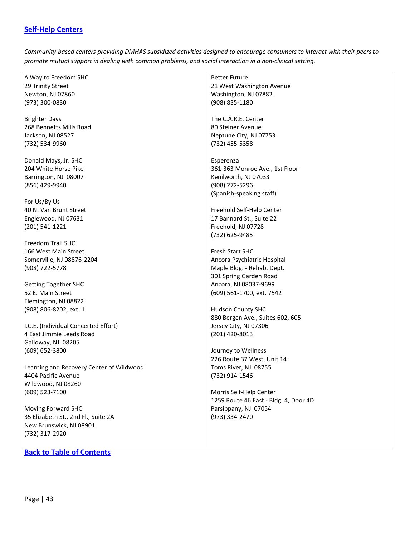### <span id="page-42-0"></span>**[Self-Help Centers](#page-42-0)**

*Community-based centers providing DMHAS subsidized activities designed to encourage consumers to interact with their peers to promote mutual support in dealing with common problems, and social interaction in a non-clinical setting.*

|                                          | <b>Better Future</b>                  |
|------------------------------------------|---------------------------------------|
| A Way to Freedom SHC                     |                                       |
| 29 Trinity Street                        | 21 West Washington Avenue             |
| Newton, NJ 07860                         | Washington, NJ 07882                  |
| (973) 300-0830                           | (908) 835-1180                        |
|                                          |                                       |
| <b>Brighter Days</b>                     | The C.A.R.E. Center                   |
| 268 Bennetts Mills Road                  | 80 Steiner Avenue                     |
| Jackson, NJ 08527                        | Neptune City, NJ 07753                |
| (732) 534-9960                           | (732) 455-5358                        |
|                                          |                                       |
| Donald Mays, Jr. SHC                     | Esperenza                             |
| 204 White Horse Pike                     | 361-363 Monroe Ave., 1st Floor        |
|                                          |                                       |
| Barrington, NJ 08007                     | Kenilworth, NJ 07033                  |
| (856) 429-9940                           | (908) 272-5296                        |
|                                          | (Spanish-speaking staff)              |
| For Us/By Us                             |                                       |
| 40 N. Van Brunt Street                   | Freehold Self-Help Center             |
| Englewood, NJ 07631                      | 17 Bannard St., Suite 22              |
| (201) 541-1221                           | Freehold, NJ 07728                    |
|                                          | (732) 625-9485                        |
| Freedom Trail SHC                        |                                       |
| 166 West Main Street                     | <b>Fresh Start SHC</b>                |
| Somerville, NJ 08876-2204                | Ancora Psychiatric Hospital           |
| (908) 722-5778                           | Maple Bldg. - Rehab. Dept.            |
|                                          | 301 Spring Garden Road                |
| <b>Getting Together SHC</b>              | Ancora, NJ 08037-9699                 |
| 52 E. Main Street                        | (609) 561-1700, ext. 7542             |
| Flemington, NJ 08822                     |                                       |
| (908) 806-8202, ext. 1                   | <b>Hudson County SHC</b>              |
|                                          |                                       |
|                                          | 880 Bergen Ave., Suites 602, 605      |
| I.C.E. (Individual Concerted Effort)     | Jersey City, NJ 07306                 |
| 4 East Jimmie Leeds Road                 | (201) 420-8013                        |
| Galloway, NJ 08205                       |                                       |
| (609) 652-3800                           | Journey to Wellness                   |
|                                          | 226 Route 37 West, Unit 14            |
| Learning and Recovery Center of Wildwood | Toms River, NJ 08755                  |
| 4404 Pacific Avenue                      | (732) 914-1546                        |
| Wildwood, NJ 08260                       |                                       |
| (609) 523-7100                           | Morris Self-Help Center               |
|                                          | 1259 Route 46 East - Bldg. 4, Door 4D |
| Moving Forward SHC                       | Parsippany, NJ 07054                  |
| 35 Elizabeth St., 2nd Fl., Suite 2A      | (973) 334-2470                        |
| New Brunswick, NJ 08901                  |                                       |
| (732) 317-2920                           |                                       |
|                                          |                                       |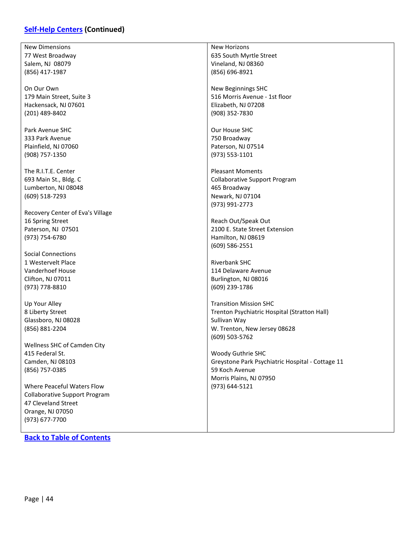### **[Self-Help Centers](#page-42-0) (Continued)**

| <b>New Dimensions</b>                | <b>New Horizons</b>                              |
|--------------------------------------|--------------------------------------------------|
| 77 West Broadway                     | 635 South Myrtle Street                          |
| Salem, NJ 08079                      | Vineland, NJ 08360                               |
| (856) 417-1987                       | (856) 696-8921                                   |
|                                      |                                                  |
| On Our Own                           | New Beginnings SHC                               |
| 179 Main Street, Suite 3             | 516 Morris Avenue - 1st floor                    |
| Hackensack, NJ 07601                 | Elizabeth, NJ 07208                              |
| (201) 489-8402                       | (908) 352-7830                                   |
|                                      |                                                  |
| Park Avenue SHC                      | Our House SHC                                    |
| 333 Park Avenue                      | 750 Broadway                                     |
| Plainfield, NJ 07060                 | Paterson, NJ 07514                               |
|                                      |                                                  |
| (908) 757-1350                       | (973) 553-1101                                   |
|                                      |                                                  |
| The R.I.T.E. Center                  | <b>Pleasant Moments</b>                          |
| 693 Main St., Bldg. C                | <b>Collaborative Support Program</b>             |
| Lumberton, NJ 08048                  | 465 Broadway                                     |
| (609) 518-7293                       | Newark, NJ 07104                                 |
|                                      | (973) 991-2773                                   |
| Recovery Center of Eva's Village     |                                                  |
| 16 Spring Street                     | Reach Out/Speak Out                              |
| Paterson, NJ 07501                   | 2100 E. State Street Extension                   |
| (973) 754-6780                       | Hamilton, NJ 08619                               |
|                                      | $(609) 586 - 2551$                               |
| <b>Social Connections</b>            |                                                  |
| 1 Westervelt Place                   | <b>Riverbank SHC</b>                             |
| Vanderhoef House                     | 114 Delaware Avenue                              |
| Clifton, NJ 07011                    | Burlington, NJ 08016                             |
| (973) 778-8810                       | (609) 239-1786                                   |
|                                      |                                                  |
| Up Your Alley                        | <b>Transition Mission SHC</b>                    |
| 8 Liberty Street                     | Trenton Psychiatric Hospital (Stratton Hall)     |
| Glassboro, NJ 08028                  | Sullivan Way                                     |
| (856) 881-2204                       | W. Trenton, New Jersey 08628                     |
|                                      | $(609)$ 503-5762                                 |
| Wellness SHC of Camden City          |                                                  |
| 415 Federal St.                      | Woody Guthrie SHC                                |
| Camden, NJ 08103                     | Greystone Park Psychiatric Hospital - Cottage 11 |
|                                      | 59 Koch Avenue                                   |
| (856) 757-0385                       |                                                  |
|                                      | Morris Plains, NJ 07950                          |
| Where Peaceful Waters Flow           | (973) 644-5121                                   |
| <b>Collaborative Support Program</b> |                                                  |
| 47 Cleveland Street                  |                                                  |
| Orange, NJ 07050                     |                                                  |
| (973) 677-7700                       |                                                  |
|                                      |                                                  |
| <b>Back to Table of Contents</b>     |                                                  |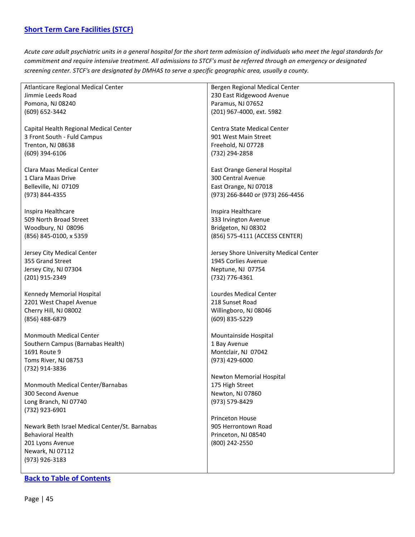<span id="page-44-0"></span>*Acute care adult psychiatric units in a general hospital for the short term admission of individuals who meet the legal standards for commitment and require intensive treatment. All admissions to STCF's must be referred through an emergency or designated screening center. STCF's are designated by DMHAS to serve a specific geographic area, usually a county.*

| Atlanticare Regional Medical Center            | Bergen Regional Medical Center         |
|------------------------------------------------|----------------------------------------|
| Jimmie Leeds Road                              | 230 East Ridgewood Avenue              |
|                                                |                                        |
| Pomona, NJ 08240                               | Paramus, NJ 07652                      |
| (609) 652-3442                                 | (201) 967-4000, ext. 5982              |
|                                                |                                        |
| Capital Health Regional Medical Center         | Centra State Medical Center            |
| 3 Front South - Fuld Campus                    | 901 West Main Street                   |
|                                                |                                        |
| Trenton, NJ 08638                              | Freehold, NJ 07728                     |
| $(609)$ 394-6106                               | (732) 294-2858                         |
|                                                |                                        |
| Clara Maas Medical Center                      | East Orange General Hospital           |
| 1 Clara Maas Drive                             | 300 Central Avenue                     |
|                                                |                                        |
| Belleville, NJ 07109                           | East Orange, NJ 07018                  |
| (973) 844-4355                                 | (973) 266-8440 or (973) 266-4456       |
|                                                |                                        |
| Inspira Healthcare                             | Inspira Healthcare                     |
| 509 North Broad Street                         | 333 Irvington Avenue                   |
| Woodbury, NJ 08096                             | Bridgeton, NJ 08302                    |
|                                                |                                        |
| (856) 845-0100, x 5359                         | (856) 575-4111 (ACCESS CENTER)         |
|                                                |                                        |
| Jersey City Medical Center                     | Jersey Shore University Medical Center |
| 355 Grand Street                               | 1945 Corlies Avenue                    |
| Jersey City, NJ 07304                          | Neptune, NJ 07754                      |
|                                                |                                        |
| (201) 915-2349                                 | (732) 776-4361                         |
|                                                |                                        |
| Kennedy Memorial Hospital                      | Lourdes Medical Center                 |
| 2201 West Chapel Avenue                        | 218 Sunset Road                        |
| Cherry Hill, NJ 08002                          | Willingboro, NJ 08046                  |
| (856) 488-6879                                 | (609) 835-5229                         |
|                                                |                                        |
| <b>Monmouth Medical Center</b>                 | Mountainside Hospital                  |
| Southern Campus (Barnabas Health)              |                                        |
|                                                | 1 Bay Avenue                           |
| 1691 Route 9                                   | Montclair, NJ 07042                    |
| Toms River, NJ 08753                           | $(973)$ 429-6000                       |
| (732) 914-3836                                 |                                        |
|                                                | Newton Memorial Hospital               |
| Monmouth Medical Center/Barnabas               | 175 High Street                        |
|                                                |                                        |
| 300 Second Avenue                              | Newton, NJ 07860                       |
| Long Branch, NJ 07740                          | (973) 579-8429                         |
| (732) 923-6901                                 |                                        |
|                                                | <b>Princeton House</b>                 |
| Newark Beth Israel Medical Center/St. Barnabas | 905 Herrontown Road                    |
|                                                |                                        |
| <b>Behavioral Health</b>                       | Princeton, NJ 08540                    |
| 201 Lyons Avenue                               | (800) 242-2550                         |
| Newark, NJ 07112                               |                                        |
| (973) 926-3183                                 |                                        |
|                                                |                                        |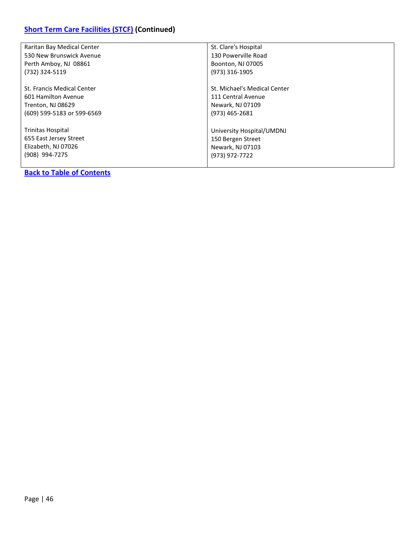| Raritan Bay Medical Center | St. Clare's Hospital         |
|----------------------------|------------------------------|
| 530 New Brunswick Avenue   | 130 Powerville Road          |
| Perth Amboy, NJ 08861      | Boonton, NJ 07005            |
| (732) 324-5119             | (973) 316-1905               |
|                            |                              |
| St. Francis Medical Center | St. Michael's Medical Center |
| 601 Hamilton Avenue        | 111 Central Avenue           |
| Trenton, NJ 08629          | Newark, NJ 07109             |
| (609) 599-5183 or 599-6569 | (973) 465-2681               |
|                            |                              |
| <b>Trinitas Hospital</b>   | University Hospital/UMDNJ    |
| 655 East Jersey Street     | 150 Bergen Street            |
| Elizabeth, NJ 07026        | Newark, NJ 07103             |
| (908) 994-7275             | (973) 972-7722               |
|                            |                              |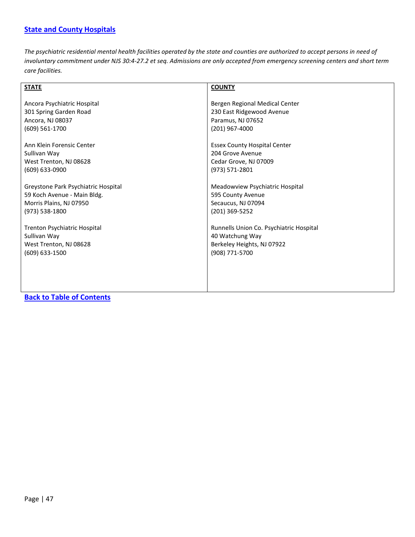#### <span id="page-46-0"></span>**[State and County Hospitals](#page-46-0)**

*The psychiatric residential mental health facilities operated by the state and counties are authorized to accept persons in need of involuntary commitment under NJS 30:4-27.2 et seq. Admissions are only accepted from emergency screening centers and short term care facilities.*

| <b>STATE</b>                        | <b>COUNTY</b>                           |
|-------------------------------------|-----------------------------------------|
| Ancora Psychiatric Hospital         | Bergen Regional Medical Center          |
| 301 Spring Garden Road              | 230 East Ridgewood Avenue               |
| Ancora, NJ 08037                    | Paramus, NJ 07652                       |
| (609) 561-1700                      | (201) 967-4000                          |
| Ann Klein Forensic Center           | <b>Essex County Hospital Center</b>     |
| Sullivan Way                        | 204 Grove Avenue                        |
| West Trenton, NJ 08628              | Cedar Grove, NJ 07009                   |
| $(609)$ 633-0900                    | (973) 571-2801                          |
| Greystone Park Psychiatric Hospital | Meadowview Psychiatric Hospital         |
| 59 Koch Avenue - Main Bldg.         | 595 County Avenue                       |
| Morris Plains, NJ 07950             | Secaucus, NJ 07094                      |
| (973) 538-1800                      | (201) 369-5252                          |
| Trenton Psychiatric Hospital        | Runnells Union Co. Psychiatric Hospital |
| Sullivan Way                        | 40 Watchung Way                         |
| West Trenton, NJ 08628              | Berkeley Heights, NJ 07922              |
| $(609)$ 633-1500                    | (908) 771-5700                          |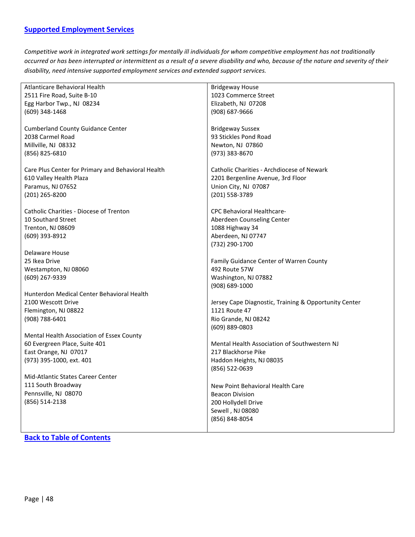<span id="page-47-0"></span>*Competitive work in integrated work settings for mentally ill individuals for whom competitive employment has not traditionally occurred or has been interrupted or intermittent as a result of a severe disability and who, because of the nature and severity of their disability, need intensive supported employment services and extended support services.*

| Atlanticare Behavioral Health                      | <b>Bridgeway House</b>                                |
|----------------------------------------------------|-------------------------------------------------------|
| 2511 Fire Road, Suite B-10                         | 1023 Commerce Street                                  |
| Egg Harbor Twp., NJ 08234                          | Elizabeth, NJ 07208                                   |
| (609) 348-1468                                     | (908) 687-9666                                        |
|                                                    |                                                       |
| <b>Cumberland County Guidance Center</b>           | <b>Bridgeway Sussex</b>                               |
| 2038 Carmel Road                                   | 93 Stickles Pond Road                                 |
| Millville, NJ 08332                                | Newton, NJ 07860                                      |
| (856) 825-6810                                     | (973) 383-8670                                        |
|                                                    |                                                       |
| Care Plus Center for Primary and Behavioral Health | Catholic Charities - Archdiocese of Newark            |
| 610 Valley Health Plaza                            | 2201 Bergenline Avenue, 3rd Floor                     |
| Paramus, NJ 07652                                  | Union City, NJ 07087                                  |
| (201) 265-8200                                     | (201) 558-3789                                        |
|                                                    |                                                       |
| <b>Catholic Charities - Diocese of Trenton</b>     | <b>CPC Behavioral Healthcare-</b>                     |
| 10 Southard Street                                 | Aberdeen Counseling Center                            |
| Trenton, NJ 08609                                  | 1088 Highway 34                                       |
| (609) 393-8912                                     | Aberdeen, NJ 07747                                    |
|                                                    | (732) 290-1700                                        |
| Delaware House                                     |                                                       |
| 25 Ikea Drive                                      | Family Guidance Center of Warren County               |
| Westampton, NJ 08060                               | 492 Route 57W                                         |
| (609) 267-9339                                     | Washington, NJ 07882                                  |
|                                                    | (908) 689-1000                                        |
| Hunterdon Medical Center Behavioral Health         |                                                       |
| 2100 Wescott Drive                                 | Jersey Cape Diagnostic, Training & Opportunity Center |
| Flemington, NJ 08822                               | 1121 Route 47                                         |
| $(908) 788 - 6401$                                 | Rio Grande, NJ 08242                                  |
|                                                    | (609) 889-0803                                        |
| Mental Health Association of Essex County          |                                                       |
| 60 Evergreen Place, Suite 401                      | Mental Health Association of Southwestern NJ          |
| East Orange, NJ 07017                              | 217 Blackhorse Pike                                   |
| (973) 395-1000, ext. 401                           | Haddon Heights, NJ 08035                              |
|                                                    | (856) 522-0639                                        |
| Mid-Atlantic States Career Center                  |                                                       |
| 111 South Broadway                                 | New Point Behavioral Health Care                      |
| Pennsville, NJ 08070                               | <b>Beacon Division</b>                                |
| (856) 514-2138                                     | 200 Hollydell Drive                                   |
|                                                    | Sewell, NJ 08080                                      |
|                                                    | (856) 848-8054                                        |
|                                                    |                                                       |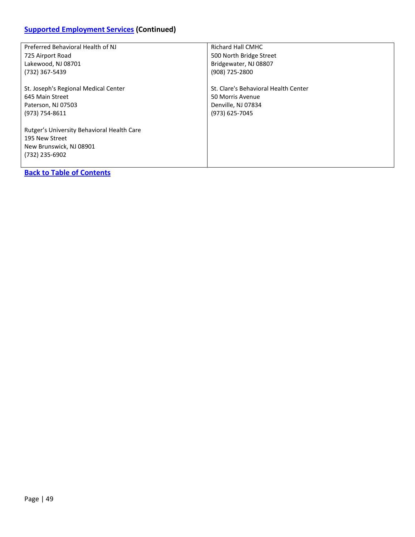# **[Supported Employment Services](#page-47-0) (Continued)**

| Preferred Behavioral Health of NJ                                                                         | Richard Hall CMHC                    |
|-----------------------------------------------------------------------------------------------------------|--------------------------------------|
| 725 Airport Road                                                                                          | 500 North Bridge Street              |
| Lakewood, NJ 08701                                                                                        | Bridgewater, NJ 08807                |
| (732) 367-5439                                                                                            | (908) 725-2800                       |
| St. Joseph's Regional Medical Center                                                                      | St. Clare's Behavioral Health Center |
| 645 Main Street                                                                                           | 50 Morris Avenue                     |
| Paterson, NJ 07503                                                                                        | Denville, NJ 07834                   |
| (973) 754-8611                                                                                            | (973) 625-7045                       |
| Rutger's University Behavioral Health Care<br>195 New Street<br>New Brunswick, NJ 08901<br>(732) 235-6902 |                                      |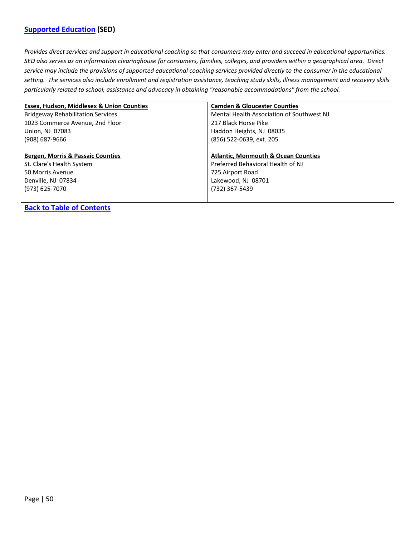### <span id="page-49-0"></span>**[Supported Education](#page-49-0) (SED)**

*Provides direct services and support in educational coaching so that consumers may enter and succeed in educational opportunities. SED also serves as an information clearinghouse for consumers, families, colleges, and providers within a geographical area. Direct service may include the provisions of supported educational coaching services provided directly to the consumer in the educational setting. The services also include enrollment and registration assistance, teaching study skills, illness management and recovery skills particularly related to school, assistance and advocacy in obtaining "reasonable accommodations" from the school.*

| <b>Essex, Hudson, Middlesex &amp; Union Counties</b> | <b>Camden &amp; Gloucester Counties</b>        |
|------------------------------------------------------|------------------------------------------------|
| <b>Bridgeway Rehabilitation Services</b>             | Mental Health Association of Southwest NJ      |
| 1023 Commerce Avenue, 2nd Floor                      | 217 Black Horse Pike                           |
| Union, NJ 07083                                      | Haddon Heights, NJ 08035                       |
| $(908)$ 687-9666                                     | (856) 522-0639, ext. 205                       |
|                                                      |                                                |
| <b>Bergen, Morris &amp; Passaic Counties</b>         | <b>Atlantic, Monmouth &amp; Ocean Counties</b> |
| St. Clare's Health System                            | Preferred Behavioral Health of NJ              |
| 50 Morris Avenue                                     | 725 Airport Road                               |
| Denville, NJ 07834                                   | Lakewood, NJ 08701                             |
| (973) 625-7070                                       | (732) 367-5439                                 |
|                                                      |                                                |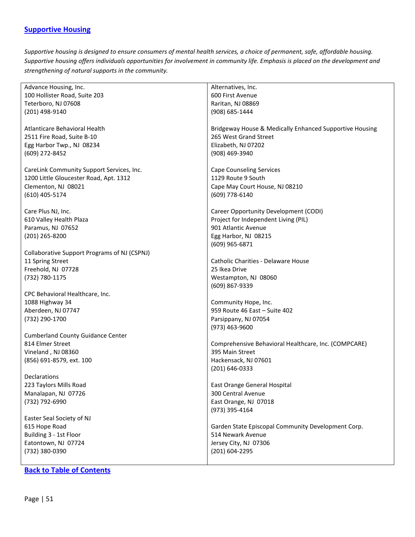### <span id="page-50-0"></span>**[Supportive Housing](#page-50-0)**

*Supportive housing is designed to ensure consumers of mental health services, a choice of permanent, safe, affordable housing. Supportive housing offers individuals opportunities for involvement in community life. Emphasis is placed on the development and strengthening of natural supports in the community.*

| Advance Housing, Inc.                        | Alternatives, Inc.                                      |
|----------------------------------------------|---------------------------------------------------------|
| 100 Hollister Road, Suite 203                | 600 First Avenue                                        |
| Teterboro, NJ 07608                          | Raritan, NJ 08869                                       |
| (201) 498-9140                               | (908) 685-1444                                          |
|                                              |                                                         |
| Atlanticare Behavioral Health                | Bridgeway House & Medically Enhanced Supportive Housing |
| 2511 Fire Road, Suite B-10                   | 265 West Grand Street                                   |
| Egg Harbor Twp., NJ 08234                    | Elizabeth, NJ 07202                                     |
| (609) 272-8452                               | (908) 469-3940                                          |
|                                              |                                                         |
| CareLink Community Support Services, Inc.    | <b>Cape Counseling Services</b>                         |
| 1200 Little Gloucester Road, Apt. 1312       | 1129 Route 9 South                                      |
| Clementon, NJ 08021                          | Cape May Court House, NJ 08210                          |
| (610) 405-5174                               | (609) 778-6140                                          |
|                                              |                                                         |
| Care Plus NJ, Inc.                           | Career Opportunity Development (CODI)                   |
| 610 Valley Health Plaza                      | Project for Independent Living (PIL)                    |
| Paramus, NJ 07652                            | 901 Atlantic Avenue                                     |
| (201) 265-8200                               | Egg Harbor, NJ 08215                                    |
|                                              | (609) 965-6871                                          |
| Collaborative Support Programs of NJ (CSPNJ) |                                                         |
| 11 Spring Street                             | Catholic Charities - Delaware House                     |
| Freehold, NJ 07728                           | 25 Ikea Drive                                           |
| (732) 780-1175                               | Westampton, NJ 08060                                    |
|                                              | (609) 867-9339                                          |
| CPC Behavioral Healthcare, Inc.              |                                                         |
| 1088 Highway 34                              | Community Hope, Inc.                                    |
| Aberdeen, NJ 07747                           | 959 Route 46 East - Suite 402                           |
| (732) 290-1700                               | Parsippany, NJ 07054                                    |
|                                              | $(973)$ 463-9600                                        |
| <b>Cumberland County Guidance Center</b>     |                                                         |
| 814 Elmer Street                             | Comprehensive Behavioral Healthcare, Inc. (COMPCARE)    |
| Vineland, NJ 08360                           | 395 Main Street                                         |
| (856) 691-8579, ext. 100                     | Hackensack, NJ 07601                                    |
|                                              | (201) 646-0333                                          |
| Declarations                                 |                                                         |
| 223 Taylors Mills Road                       | East Orange General Hospital                            |
| Manalapan, NJ 07726                          | 300 Central Avenue                                      |
| (732) 792-6990                               | East Orange, NJ 07018                                   |
|                                              | (973) 395-4164                                          |
| Easter Seal Society of NJ                    |                                                         |
| 615 Hope Road                                | Garden State Episcopal Community Development Corp.      |
| Building 3 - 1st Floor                       | 514 Newark Avenue                                       |
| Eatontown, NJ 07724                          | Jersey City, NJ 07306                                   |
| (732) 380-0390                               | (201) 604-2295                                          |
|                                              |                                                         |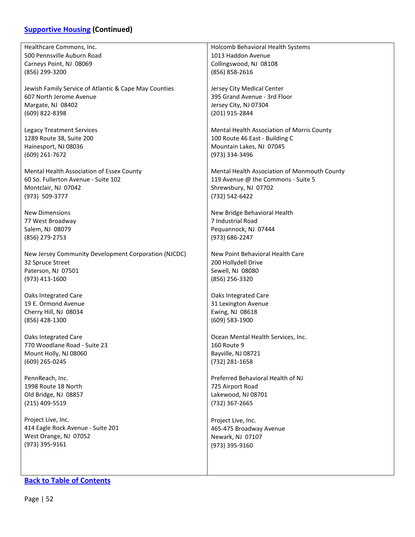# **[Supportive Housing](#page-50-0) (Continued)**

| Healthcare Commons, Inc.                              | Holcomb Behavioral Health Systems            |
|-------------------------------------------------------|----------------------------------------------|
| 500 Pennsville Auburn Road                            | 1013 Haddon Avenue                           |
| Carneys Point, NJ 08069                               | Collingswood, NJ 08108                       |
| (856) 299-3200                                        | (856) 858-2616                               |
|                                                       |                                              |
|                                                       |                                              |
| Jewish Family Service of Atlantic & Cape May Counties | Jersey City Medical Center                   |
| 607 North Jerome Avenue                               | 395 Grand Avenue - 3rd Floor                 |
| Margate, NJ 08402                                     | Jersey City, NJ 07304                        |
| (609) 822-8398                                        | (201) 915-2844                               |
|                                                       |                                              |
| <b>Legacy Treatment Services</b>                      | Mental Health Association of Morris County   |
| 1289 Route 38, Suite 200                              | 100 Route 46 East - Building C               |
| Hainesport, NJ 08036                                  | Mountain Lakes, NJ 07045                     |
|                                                       |                                              |
| (609) 261-7672                                        | (973) 334-3496                               |
|                                                       |                                              |
| Mental Health Association of Essex County             | Mental Health Association of Monmouth County |
| 60 So. Fullerton Avenue - Suite 102                   | 119 Avenue @ the Commons - Suite 5           |
| Montclair, NJ 07042                                   | Shrewsbury, NJ 07702                         |
| (973) 509-3777                                        | (732) 542-6422                               |
|                                                       |                                              |
| <b>New Dimensions</b>                                 | New Bridge Behavioral Health                 |
| 77 West Broadway                                      | 7 Industrial Road                            |
|                                                       |                                              |
| Salem, NJ 08079                                       | Pequannock, NJ 07444                         |
| (856) 279-2753                                        | (973) 686-2247                               |
|                                                       |                                              |
| New Jersey Community Development Corporation (NJCDC)  | New Point Behavioral Health Care             |
| 32 Spruce Street                                      | 200 Hollydell Drive                          |
| Paterson, NJ 07501                                    | Sewell, NJ 08080                             |
| (973) 413-1600                                        | (856) 256-3320                               |
|                                                       |                                              |
| Oaks Integrated Care                                  | Oaks Integrated Care                         |
| 19 E. Ormond Avenue                                   | 31 Lexington Avenue                          |
|                                                       |                                              |
| Cherry Hill, NJ 08034                                 | Ewing, NJ 08618                              |
| (856) 428-1300                                        | (609) 583-1900                               |
|                                                       |                                              |
| Oaks Integrated Care                                  | Ocean Mental Health Services, Inc.           |
| 770 Woodlane Road - Suite 23                          | 160 Route 9                                  |
| Mount Holly, NJ 08060                                 | Bayville, NJ 08721                           |
| (609) 265-0245                                        | (732) 281-1658                               |
|                                                       |                                              |
| PennReach, Inc.                                       | Preferred Behavioral Health of NJ            |
|                                                       |                                              |
| 1998 Route 18 North                                   | 725 Airport Road                             |
| Old Bridge, NJ 08857                                  | Lakewood, NJ 08701                           |
| (215) 409-5519                                        | (732) 367-2665                               |
|                                                       |                                              |
| Project Live, Inc.                                    | Project Live, Inc.                           |
| 414 Eagle Rock Avenue - Suite 201                     | 465-475 Broadway Avenue                      |
| West Orange, NJ 07052                                 | Newark, NJ 07107                             |
| (973) 395-9161                                        | (973) 395-9160                               |
|                                                       |                                              |
|                                                       |                                              |
|                                                       |                                              |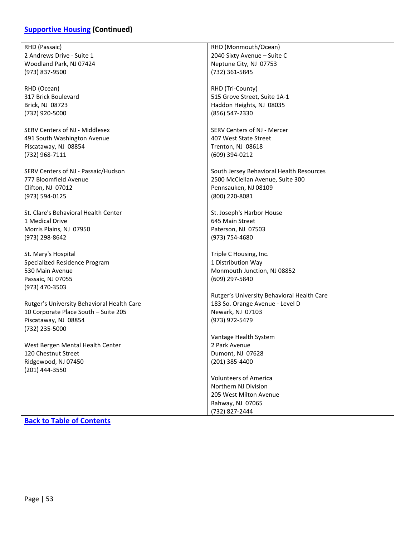# **[Supportive Housing](#page-50-0) (Continued)**

| RHD (Passaic)                              | RHD (Monmouth/Ocean)                       |
|--------------------------------------------|--------------------------------------------|
| 2 Andrews Drive - Suite 1                  | 2040 Sixty Avenue - Suite C                |
| Woodland Park, NJ 07424                    | Neptune City, NJ 07753                     |
| (973) 837-9500                             | (732) 361-5845                             |
|                                            |                                            |
| RHD (Ocean)                                | RHD (Tri-County)                           |
| 317 Brick Boulevard                        | 515 Grove Street, Suite 1A-1               |
| Brick, NJ 08723                            | Haddon Heights, NJ 08035                   |
| (732) 920-5000                             | (856) 547-2330                             |
|                                            |                                            |
| SERV Centers of NJ - Middlesex             | SERV Centers of NJ - Mercer                |
| 491 South Washington Avenue                | 407 West State Street                      |
| Piscataway, NJ 08854                       | Trenton, NJ 08618                          |
|                                            |                                            |
| (732) 968-7111                             | (609) 394-0212                             |
| SERV Centers of NJ - Passaic/Hudson        |                                            |
|                                            | South Jersey Behavioral Health Resources   |
| 777 Bloomfield Avenue                      | 2500 McClellan Avenue, Suite 300           |
| Clifton, NJ 07012                          | Pennsauken, NJ 08109                       |
| (973) 594-0125                             | (800) 220-8081                             |
|                                            |                                            |
| St. Clare's Behavioral Health Center       | St. Joseph's Harbor House                  |
| 1 Medical Drive                            | 645 Main Street                            |
| Morris Plains, NJ 07950                    | Paterson, NJ 07503                         |
| (973) 298-8642                             | (973) 754-4680                             |
|                                            |                                            |
| St. Mary's Hospital                        | Triple C Housing, Inc.                     |
| Specialized Residence Program              | 1 Distribution Way                         |
| 530 Main Avenue                            | Monmouth Junction, NJ 08852                |
| Passaic, NJ 07055                          | (609) 297-5840                             |
| (973) 470-3503                             |                                            |
|                                            | Rutger's University Behavioral Health Care |
| Rutger's University Behavioral Health Care | 183 So. Orange Avenue - Level D            |
| 10 Corporate Place South - Suite 205       | Newark, NJ 07103                           |
| Piscataway, NJ 08854                       | (973) 972-5479                             |
| (732) 235-5000                             |                                            |
|                                            | Vantage Health System                      |
| West Bergen Mental Health Center           | 2 Park Avenue                              |
| 120 Chestnut Street                        | Dumont, NJ 07628                           |
| Ridgewood, NJ 07450                        | (201) 385-4400                             |
| (201) 444-3550                             |                                            |
|                                            | <b>Volunteers of America</b>               |
|                                            | Northern NJ Division                       |
|                                            | 205 West Milton Avenue                     |
|                                            | Rahway, NJ 07065                           |
|                                            | (732) 827-2444                             |
|                                            |                                            |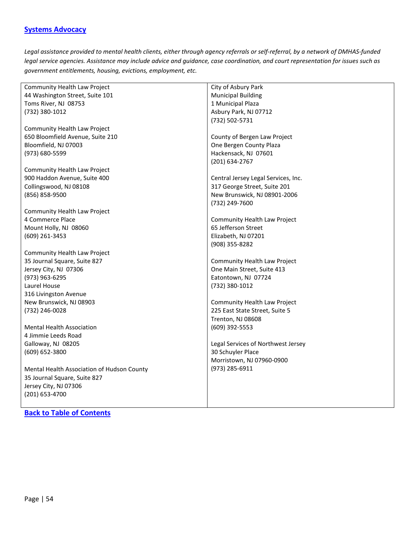### <span id="page-53-0"></span>**[Systems Advocacy](#page-53-0)**

*Legal assistance provided to mental health clients, either through agency referrals or self-referral, by a network of DMHAS-funded legal service agencies. Assistance may include advice and guidance, case coordination, and court representation for issues such as government entitlements, housing, evictions, employment, etc.*

| Community Health Law Project               | City of Asbury Park                 |
|--------------------------------------------|-------------------------------------|
| 44 Washington Street, Suite 101            | <b>Municipal Building</b>           |
| Toms River, NJ 08753                       | 1 Municipal Plaza                   |
| (732) 380-1012                             | Asbury Park, NJ 07712               |
|                                            | (732) 502-5731                      |
| Community Health Law Project               |                                     |
| 650 Bloomfield Avenue, Suite 210           | County of Bergen Law Project        |
| Bloomfield, NJ 07003                       | One Bergen County Plaza             |
| (973) 680-5599                             | Hackensack, NJ 07601                |
|                                            | (201) 634-2767                      |
| Community Health Law Project               |                                     |
| 900 Haddon Avenue, Suite 400               | Central Jersey Legal Services, Inc. |
| Collingswood, NJ 08108                     | 317 George Street, Suite 201        |
| (856) 858-9500                             | New Brunswick, NJ 08901-2006        |
|                                            | (732) 249-7600                      |
| <b>Community Health Law Project</b>        |                                     |
| 4 Commerce Place                           | Community Health Law Project        |
| Mount Holly, NJ 08060                      | 65 Jefferson Street                 |
| (609) 261-3453                             | Elizabeth, NJ 07201                 |
|                                            | (908) 355-8282                      |
| Community Health Law Project               |                                     |
| 35 Journal Square, Suite 827               | Community Health Law Project        |
| Jersey City, NJ 07306                      | One Main Street, Suite 413          |
| (973) 963-6295                             | Eatontown, NJ 07724                 |
| Laurel House                               | (732) 380-1012                      |
| 316 Livingston Avenue                      |                                     |
| New Brunswick, NJ 08903                    | Community Health Law Project        |
| (732) 246-0028                             | 225 East State Street, Suite 5      |
|                                            | Trenton, NJ 08608                   |
| <b>Mental Health Association</b>           | $(609)$ 392-5553                    |
| 4 Jimmie Leeds Road                        |                                     |
| Galloway, NJ 08205                         | Legal Services of Northwest Jersey  |
| (609) 652-3800                             | 30 Schuyler Place                   |
|                                            | Morristown, NJ 07960-0900           |
| Mental Health Association of Hudson County | (973) 285-6911                      |
| 35 Journal Square, Suite 827               |                                     |
| Jersey City, NJ 07306                      |                                     |
| (201) 653-4700                             |                                     |
|                                            |                                     |
|                                            |                                     |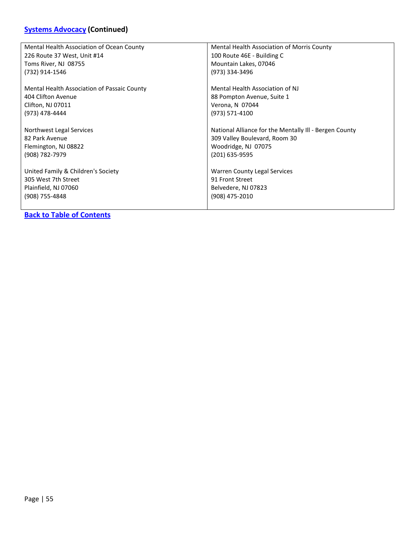# **[Systems Advocacy](#page-53-0) (Continued)**

| Mental Health Association of Ocean County   | Mental Health Association of Morris County             |
|---------------------------------------------|--------------------------------------------------------|
| 226 Route 37 West, Unit #14                 | 100 Route 46E - Building C                             |
| Toms River, NJ 08755                        | Mountain Lakes, 07046                                  |
| (732) 914-1546                              | (973) 334-3496                                         |
|                                             |                                                        |
| Mental Health Association of Passaic County | Mental Health Association of NJ                        |
| 404 Clifton Avenue                          | 88 Pompton Avenue, Suite 1                             |
| Clifton, NJ 07011                           | Verona, N 07044                                        |
| (973) 478-4444                              | (973) 571-4100                                         |
|                                             |                                                        |
| Northwest Legal Services                    | National Alliance for the Mentally III - Bergen County |
| 82 Park Avenue                              | 309 Valley Boulevard, Room 30                          |
| Flemington, NJ 08822                        | Woodridge, NJ 07075                                    |
| (908) 782-7979                              | (201) 635-9595                                         |
|                                             |                                                        |
| United Family & Children's Society          | Warren County Legal Services                           |
| 305 West 7th Street                         | 91 Front Street                                        |
| Plainfield, NJ 07060                        | Belvedere, NJ 07823                                    |
| (908) 755-4848                              | (908) 475-2010                                         |
|                                             |                                                        |